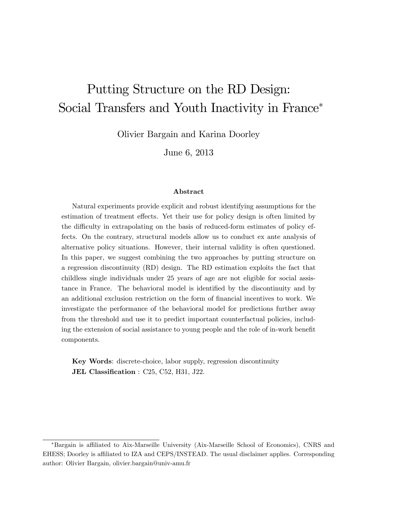# Putting Structure on the RD Design: Social Transfers and Youth Inactivity in France<sup>\*</sup>

Olivier Bargain and Karina Doorley

June 6, 2013

#### Abstract

Natural experiments provide explicit and robust identifying assumptions for the estimation of treatment effects. Yet their use for policy design is often limited by the difficulty in extrapolating on the basis of reduced-form estimates of policy effects. On the contrary, structural models allow us to conduct ex ante analysis of alternative policy situations. However, their internal validity is often questioned. In this paper, we suggest combining the two approaches by putting structure on a regression discontinuity (RD) design. The RD estimation exploits the fact that childless single individuals under 25 years of age are not eligible for social assistance in France. The behavioral model is identified by the discontinuity and by an additional exclusion restriction on the form of financial incentives to work. We investigate the performance of the behavioral model for predictions further away from the threshold and use it to predict important counterfactual policies, including the extension of social assistance to young people and the role of in-work benefit components.

Key Words: discrete-choice, labor supply, regression discontinuity JEL Classification : C25, C52, H31, J22.

<sup>\*</sup>Bargain is affiliated to Aix-Marseille University (Aix-Marseille School of Economics), CNRS and EHESS; Doorley is affiliated to IZA and CEPS/INSTEAD. The usual disclaimer applies. Corresponding author: Olivier Bargain, olivier.bargain@univ-amu.fr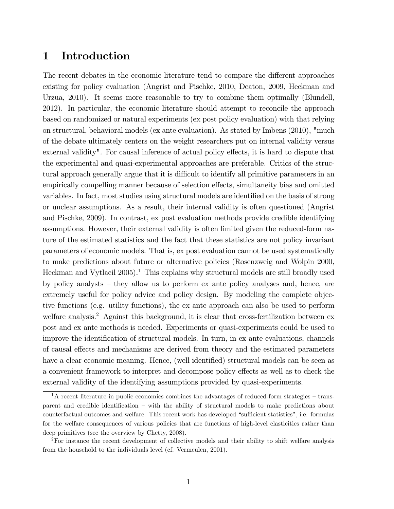### 1 Introduction

The recent debates in the economic literature tend to compare the different approaches existing for policy evaluation (Angrist and Pischke, 2010, Deaton, 2009, Heckman and Urzua, 2010). It seems more reasonable to try to combine them optimally (Blundell, 2012). In particular, the economic literature should attempt to reconcile the approach based on randomized or natural experiments (ex post policy evaluation) with that relying on structural, behavioral models (ex ante evaluation). As stated by Imbens (2010), "much of the debate ultimately centers on the weight researchers put on internal validity versus external validity". For causal inference of actual policy effects, it is hard to dispute that the experimental and quasi-experimental approaches are preferable. Critics of the structural approach generally argue that it is difficult to identify all primitive parameters in an empirically compelling manner because of selection effects, simultaneity bias and omitted variables. In fact, most studies using structural models are identified on the basis of strong or unclear assumptions. As a result, their internal validity is often questioned (Angrist and Pischke, 2009). In contrast, ex post evaluation methods provide credible identifying assumptions. However, their external validity is often limited given the reduced-form nature of the estimated statistics and the fact that these statistics are not policy invariant parameters of economic models. That is, ex post evaluation cannot be used systematically to make predictions about future or alternative policies (Rosenzweig and Wolpin 2000, Heckman and Vytlacil  $2005$ .<sup>1</sup> This explains why structural models are still broadly used by policy analysts  $-$  they allow us to perform ex ante policy analyses and, hence, are extremely useful for policy advice and policy design. By modeling the complete objective functions (e.g. utility functions), the ex ante approach can also be used to perform welfare analysis.<sup>2</sup> Against this background, it is clear that cross-fertilization between ex post and ex ante methods is needed. Experiments or quasi-experiments could be used to improve the identification of structural models. In turn, in ex ante evaluations, channels of causal effects and mechanisms are derived from theory and the estimated parameters have a clear economic meaning. Hence, (well identified) structural models can be seen as a convenient framework to interpret and decompose policy effects as well as to check the external validity of the identifying assumptions provided by quasi-experiments.

 $1<sup>1</sup>A$  recent literature in public economics combines the advantages of reduced-form strategies – transparent and credible identification – with the ability of structural models to make predictions about counterfactual outcomes and welfare. This recent work has developed "sufficient statistics", i.e. formulas for the welfare consequences of various policies that are functions of high-level elasticities rather than deep primitives (see the overview by Chetty, 2008).

<sup>&</sup>lt;sup>2</sup>For instance the recent development of collective models and their ability to shift welfare analysis from the household to the individuals level (cf. Vermeulen, 2001).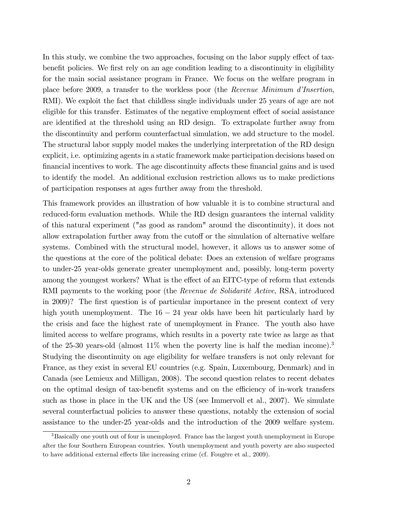In this study, we combine the two approaches, focusing on the labor supply effect of taxbenefit policies. We first rely on an age condition leading to a discontinuity in eligibility for the main social assistance program in France. We focus on the welfare program in place before 2009, a transfer to the workless poor (the Revenue Minimum d'Insertion, RMI). We exploit the fact that childless single individuals under 25 years of age are not eligible for this transfer. Estimates of the negative employment effect of social assistance are identified at the threshold using an RD design. To extrapolate further away from the discontinuity and perform counterfactual simulation, we add structure to the model. The structural labor supply model makes the underlying interpretation of the RD design explicit, i.e. optimizing agents in a static framework make participation decisions based on financial incentives to work. The age discontinuity affects these financial gains and is used to identify the model. An additional exclusion restriction allows us to make predictions of participation responses at ages further away from the threshold.

This framework provides an illustration of how valuable it is to combine structural and reduced-form evaluation methods. While the RD design guarantees the internal validity of this natural experiment ("as good as random" around the discontinuity), it does not allow extrapolation further away from the cutoff or the simulation of alternative welfare systems. Combined with the structural model, however, it allows us to answer some of the questions at the core of the political debate: Does an extension of welfare programs to under-25 year-olds generate greater unemployment and, possibly, long-term poverty among the youngest workers? What is the effect of an EITC-type of reform that extends RMI payments to the working poor (the *Revenue de Solidarité Active*, RSA, introduced in 2009)? The first question is of particular importance in the present context of very high youth unemployment. The  $16 - 24$  year olds have been hit particularly hard by the crisis and face the highest rate of unemployment in France. The youth also have limited access to welfare programs, which results in a poverty rate twice as large as that of the 25-30 years-old (almost  $11\%$  when the poverty line is half the median income).<sup>3</sup> Studying the discontinuity on age eligibility for welfare transfers is not only relevant for France, as they exist in several EU countries (e.g. Spain, Luxembourg, Denmark) and in Canada (see Lemieux and Milligan, 2008). The second question relates to recent debates on the optimal design of tax-benefit systems and on the efficiency of in-work transfers such as those in place in the UK and the US (see Immervoll et al., 2007). We simulate several counterfactual policies to answer these questions, notably the extension of social assistance to the under-25 year-olds and the introduction of the 2009 welfare system.

<sup>&</sup>lt;sup>3</sup>Basically one youth out of four is unemployed. France has the largest youth unemployment in Europe after the four Southern European countries. Youth unemployment and youth poverty are also suspected to have additional external effects like increasing crime (cf. Fougère et al.,  $2009$ ).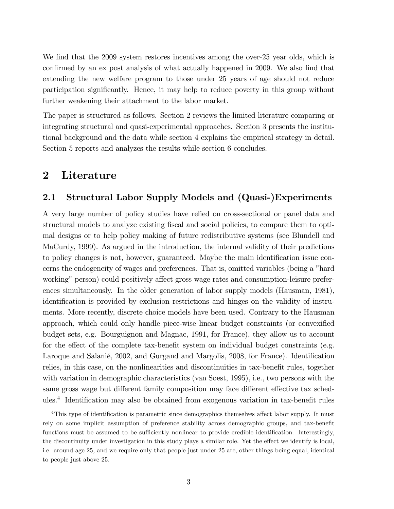We find that the 2009 system restores incentives among the over-25 year olds, which is confirmed by an ex post analysis of what actually happened in 2009. We also find that extending the new welfare program to those under 25 years of age should not reduce participation significantly. Hence, it may help to reduce poverty in this group without further weakening their attachment to the labor market.

The paper is structured as follows. Section 2 reviews the limited literature comparing or integrating structural and quasi-experimental approaches. Section 3 presents the institutional background and the data while section 4 explains the empirical strategy in detail. Section 5 reports and analyzes the results while section 6 concludes.

### 2 Literature

### 2.1 Structural Labor Supply Models and (Quasi-)Experiments

A very large number of policy studies have relied on cross-sectional or panel data and structural models to analyze existing fiscal and social policies, to compare them to optimal designs or to help policy making of future redistributive systems (see Blundell and MaCurdy, 1999). As argued in the introduction, the internal validity of their predictions to policy changes is not, however, guaranteed. Maybe the main identification issue concerns the endogeneity of wages and preferences. That is, omitted variables (being a "hard working" person) could positively affect gross wage rates and consumption-leisure preferences simultaneously. In the older generation of labor supply models (Hausman, 1981), identification is provided by exclusion restrictions and hinges on the validity of instruments. More recently, discrete choice models have been used. Contrary to the Hausman approach, which could only handle piece-wise linear budget constraints (or convexified budget sets, e.g. Bourguignon and Magnac, 1991, for France), they allow us to account for the effect of the complete tax-benefit system on individual budget constraints (e.g. Laroque and Salanié, 2002, and Gurgand and Margolis, 2008, for France). Identification relies, in this case, on the nonlinearities and discontinuities in tax-benefit rules, together with variation in demographic characteristics (van Soest, 1995), i.e., two persons with the same gross wage but different family composition may face different effective tax schedules.<sup>4</sup> Identification may also be obtained from exogenous variation in tax-benefit rules

 $4$ This type of identification is parametric since demographics themselves affect labor supply. It must rely on some implicit assumption of preference stability across demographic groups, and tax-benefit functions must be assumed to be sufficiently nonlinear to provide credible identification. Interestingly, the discontinuity under investigation in this study plays a similar role. Yet the effect we identify is local, i.e. around age 25, and we require only that people just under 25 are, other things being equal, identical to people just above 25.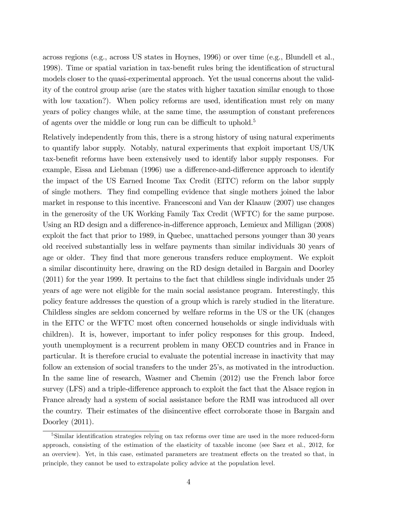across regions (e.g., across US states in Hoynes, 1996) or over time (e.g., Blundell et al., 1998). Time or spatial variation in tax-benefit rules bring the identification of structural models closer to the quasi-experimental approach. Yet the usual concerns about the validity of the control group arise (are the states with higher taxation similar enough to those with low taxation?). When policy reforms are used, identification must rely on many years of policy changes while, at the same time, the assumption of constant preferences of agents over the middle or long run can be difficult to uphold.<sup>5</sup>

Relatively independently from this, there is a strong history of using natural experiments to quantify labor supply. Notably, natural experiments that exploit important US/UK tax-benefit reforms have been extensively used to identify labor supply responses. For example, Eissa and Liebman (1996) use a difference-and-difference approach to identify the impact of the US Earned Income Tax Credit (EITC) reform on the labor supply of single mothers. They Önd compelling evidence that single mothers joined the labor market in response to this incentive. Francesconi and Van der Klaauw (2007) use changes in the generosity of the UK Working Family Tax Credit (WFTC) for the same purpose. Using an RD design and a difference-in-difference approach, Lemieux and Milligan (2008) exploit the fact that prior to 1989, in Quebec, unattached persons younger than 30 years old received substantially less in welfare payments than similar individuals 30 years of age or older. They find that more generous transfers reduce employment. We exploit a similar discontinuity here, drawing on the RD design detailed in Bargain and Doorley (2011) for the year 1999. It pertains to the fact that childless single individuals under 25 years of age were not eligible for the main social assistance program. Interestingly, this policy feature addresses the question of a group which is rarely studied in the literature. Childless singles are seldom concerned by welfare reforms in the US or the UK (changes in the EITC or the WFTC most often concerned households or single individuals with children). It is, however, important to infer policy responses for this group. Indeed, youth unemployment is a recurrent problem in many OECD countries and in France in particular. It is therefore crucial to evaluate the potential increase in inactivity that may follow an extension of social transfers to the under 25's, as motivated in the introduction. In the same line of research, Wasmer and Chemin (2012) use the French labor force survey (LFS) and a triple-difference approach to exploit the fact that the Alsace region in France already had a system of social assistance before the RMI was introduced all over the country. Their estimates of the disincentive effect corroborate those in Bargain and Doorley (2011).

<sup>&</sup>lt;sup>5</sup>Similar identification strategies relying on tax reforms over time are used in the more reduced-form approach, consisting of the estimation of the elasticity of taxable income (see Saez et al., 2012, for an overview). Yet, in this case, estimated parameters are treatment effects on the treated so that, in principle, they cannot be used to extrapolate policy advice at the population level.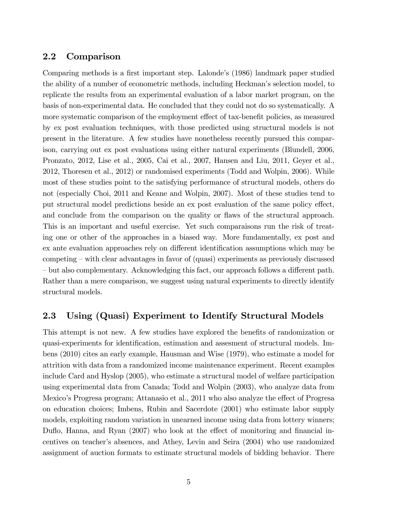#### 2.2 Comparison

Comparing methods is a first important step. Lalonde's (1986) landmark paper studied the ability of a number of econometric methods, including Heckman's selection model, to replicate the results from an experimental evaluation of a labor market program, on the basis of non-experimental data. He concluded that they could not do so systematically. A more systematic comparison of the employment effect of tax-benefit policies, as measured by ex post evaluation techniques, with those predicted using structural models is not present in the literature. A few studies have nonetheless recently pursued this comparison, carrying out ex post evaluations using either natural experiments (Blundell, 2006, Pronzato, 2012, Lise et al., 2005, Cai et al., 2007, Hansen and Liu, 2011, Geyer et al., 2012, Thoresen et al., 2012) or randomised experiments (Todd and Wolpin, 2006). While most of these studies point to the satisfying performance of structural models, others do not (especially Choi, 2011 and Keane and Wolpin, 2007). Most of these studies tend to put structural model predictions beside an ex post evaluation of the same policy effect, and conclude from the comparison on the quality or flaws of the structural approach. This is an important and useful exercise. Yet such comparaisons run the risk of treating one or other of the approaches in a biased way. More fundamentally, ex post and ex ante evaluation approaches rely on different identification assumptions which may be competing  $\sim$  with clear advantages in favor of (quasi) experiments as previously discussed  $\sim$  but also complementary. Acknowledging this fact, our approach follows a different path. Rather than a mere comparison, we suggest using natural experiments to directly identify structural models.

#### 2.3 Using (Quasi) Experiment to Identify Structural Models

This attempt is not new. A few studies have explored the benefits of randomization or quasi-experiments for identification, estimation and assessment of structural models. Imbens (2010) cites an early example, Hausman and Wise (1979), who estimate a model for attrition with data from a randomized income maintenance experiment. Recent examples include Card and Hyslop (2005), who estimate a structural model of welfare participation using experimental data from Canada; Todd and Wolpin (2003), who analyze data from Mexico's Progresa program; Attanasio et al., 2011 who also analyze the effect of Progresa on education choices; Imbens, Rubin and Sacerdote (2001) who estimate labor supply models, exploiting random variation in unearned income using data from lottery winners; Duflo, Hanna, and Ryan  $(2007)$  who look at the effect of monitoring and financial incentives on teacherís absences, and Athey, Levin and Seira (2004) who use randomized assignment of auction formats to estimate structural models of bidding behavior. There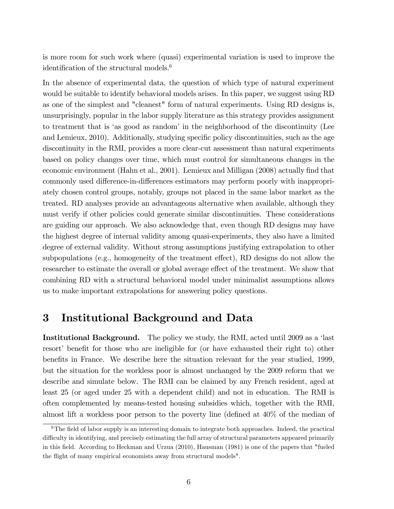is more room for such work where (quasi) experimental variation is used to improve the identification of the structural models. $6$ 

In the absence of experimental data, the question of which type of natural experiment would be suitable to identify behavioral models arises. In this paper, we suggest using RD as one of the simplest and "cleanest" form of natural experiments. Using RD designs is, unsurprisingly, popular in the labor supply literature as this strategy provides assignment to treatment that is 'as good as random' in the neighborhood of the discontinuity (Lee and Lemieux, 2010). Additionally, studying specific policy discontinuities, such as the age discontinuity in the RMI, provides a more clear-cut assessment than natural experiments based on policy changes over time, which must control for simultaneous changes in the economic environment (Hahn et al., 2001). Lemieux and Milligan (2008) actually find that commonly used difference-in-differences estimators may perform poorly with inappropriately chosen control groups, notably, groups not placed in the same labor market as the treated. RD analyses provide an advantageous alternative when available, although they must verify if other policies could generate similar discontinuities. These considerations are guiding our approach. We also acknowledge that, even though RD designs may have the highest degree of internal validity among quasi-experiments, they also have a limited degree of external validity. Without strong assumptions justifying extrapolation to other subpopulations (e.g., homogeneity of the treatment effect), RD designs do not allow the researcher to estimate the overall or global average effect of the treatment. We show that combining RD with a structural behavioral model under minimalist assumptions allows us to make important extrapolations for answering policy questions.

## 3 Institutional Background and Data

**Institutional Background.** The policy we study, the RMI, acted until 2009 as a 'last resort' benefit for those who are ineligible for (or have exhausted their right to) other benefits in France. We describe here the situation relevant for the year studied, 1999, but the situation for the workless poor is almost unchanged by the 2009 reform that we describe and simulate below. The RMI can be claimed by any French resident, aged at least 25 (or aged under 25 with a dependent child) and not in education. The RMI is often complemented by means-tested housing subsidies which, together with the RMI, almost lift a workless poor person to the poverty line (defined at  $40\%$  of the median of

 $6$ The field of labor supply is an interesting domain to integrate both approaches. Indeed, the practical difficulty in identifying, and precisely estimating the full array of structural parameters appeared primarily in this Öeld. According to Heckman and Urzua (2010), Hausman (1981) is one of the papers that "fueled the flight of many empirical economists away from structural models".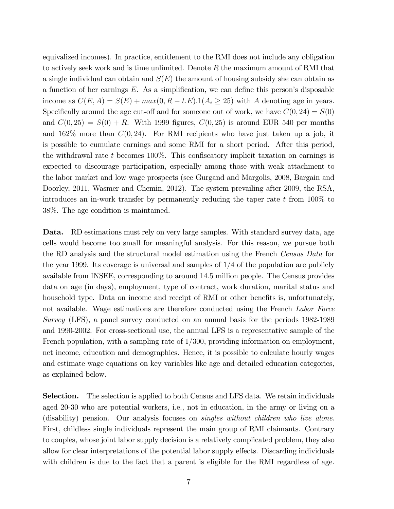equivalized incomes). In practice, entitlement to the RMI does not include any obligation to actively seek work and is time unlimited. Denote  $R$  the maximum amount of RMI that a single individual can obtain and  $S(E)$  the amount of housing subsidy she can obtain as a function of her earnings  $E$ . As a simplification, we can define this person's disposable income as  $C(E, A) = S(E) + max(0, R - t.E).1(A_i \ge 25)$  with A denoting age in years. Specifically around the age cut-off and for someone out of work, we have  $C(0, 24) = S(0)$ and  $C(0, 25) = S(0) + R$ . With 1999 figures,  $C(0, 25)$  is around EUR 540 per months and  $162\%$  more than  $C(0, 24)$ . For RMI recipients who have just taken up a job, it is possible to cumulate earnings and some RMI for a short period. After this period, the withdrawal rate  $t$  becomes 100%. This confiscatory implicit taxation on earnings is expected to discourage participation, especially among those with weak attachment to the labor market and low wage prospects (see Gurgand and Margolis, 2008, Bargain and Doorley, 2011, Wasmer and Chemin, 2012). The system prevailing after 2009, the RSA, introduces an in-work transfer by permanently reducing the taper rate  $t$  from 100% to 38%. The age condition is maintained.

Data. RD estimations must rely on very large samples. With standard survey data, age cells would become too small for meaningful analysis. For this reason, we pursue both the RD analysis and the structural model estimation using the French Census Data for the year 1999. Its coverage is universal and samples of  $1/4$  of the population are publicly available from INSEE, corresponding to around 14:5 million people. The Census provides data on age (in days), employment, type of contract, work duration, marital status and household type. Data on income and receipt of RMI or other benefits is, unfortunately, not available. Wage estimations are therefore conducted using the French Labor Force Survey (LFS), a panel survey conducted on an annual basis for the periods 1982-1989 and 1990-2002. For cross-sectional use, the annual LFS is a representative sample of the French population, with a sampling rate of  $1/300$ , providing information on employment, net income, education and demographics. Hence, it is possible to calculate hourly wages and estimate wage equations on key variables like age and detailed education categories, as explained below.

Selection. The selection is applied to both Census and LFS data. We retain individuals aged 20-30 who are potential workers, i.e., not in education, in the army or living on a (disability) pension. Our analysis focuses on *singles without children who live alone*. First, childless single individuals represent the main group of RMI claimants. Contrary to couples, whose joint labor supply decision is a relatively complicated problem, they also allow for clear interpretations of the potential labor supply effects. Discarding individuals with children is due to the fact that a parent is eligible for the RMI regardless of age.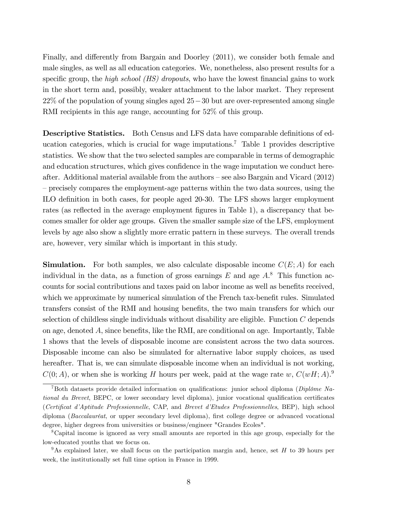Finally, and differently from Bargain and Doorley (2011), we consider both female and male singles, as well as all education categories. We, nonetheless, also present results for a specific group, the high school  $(HS)$  dropouts, who have the lowest financial gains to work in the short term and, possibly, weaker attachment to the labor market. They represent  $22\%$  of the population of young singles aged  $25-30$  but are over-represented among single RMI recipients in this age range, accounting for 52\% of this group.

Descriptive Statistics. Both Census and LFS data have comparable definitions of education categories, which is crucial for wage imputations.<sup>7</sup> Table 1 provides descriptive statistics. We show that the two selected samples are comparable in terms of demographic and education structures, which gives confidence in the wage imputation we conduct hereafter. Additional material available from the authors  $-\text{see}$  also Bargain and Vicard (2012) – precisely compares the employment-age patterns within the two data sources, using the ILO deÖnition in both cases, for people aged 20-30. The LFS shows larger employment rates (as reflected in the average employment figures in Table 1), a discrepancy that becomes smaller for older age groups. Given the smaller sample size of the LFS, employment levels by age also show a slightly more erratic pattern in these surveys. The overall trends are, however, very similar which is important in this study.

**Simulation.** For both samples, we also calculate disposable income  $C(E; A)$  for each individual in the data, as a function of gross earnings  $E$  and age  $A$ <sup>8</sup>. This function accounts for social contributions and taxes paid on labor income as well as benefits received, which we approximate by numerical simulation of the French tax-benefit rules. Simulated transfers consist of the RMI and housing benefits, the two main transfers for which our selection of childless single individuals without disability are eligible. Function C depends on age, denoted  $A$ , since benefits, like the RMI, are conditional on age. Importantly, Table 1 shows that the levels of disposable income are consistent across the two data sources. Disposable income can also be simulated for alternative labor supply choices, as used hereafter. That is, we can simulate disposable income when an individual is not working,  $C(0; A)$ , or when she is working H hours per week, paid at the wage rate w,  $C(wH; A)$ .

<sup>&</sup>lt;sup>7</sup>Both datasets provide detailed information on qualifications: junior school diploma (Diplôme National du Brevet, BEPC, or lower secondary level diploma), junior vocational qualification certificates (Certificat d'Aptitude Professionnelle, CAP, and Brevet d'Etudes Professionnelles, BEP), high school diploma (Baccalauréat, or upper secondary level diploma), first college degree or advanced vocational degree, higher degrees from universities or business/engineer "Grandes Ecoles".

<sup>8</sup>Capital income is ignored as very small amounts are reported in this age group, especially for the low-educated youths that we focus on.

<sup>&</sup>lt;sup>9</sup>As explained later, we shall focus on the participation margin and, hence, set H to 39 hours per week, the institutionally set full time option in France in 1999.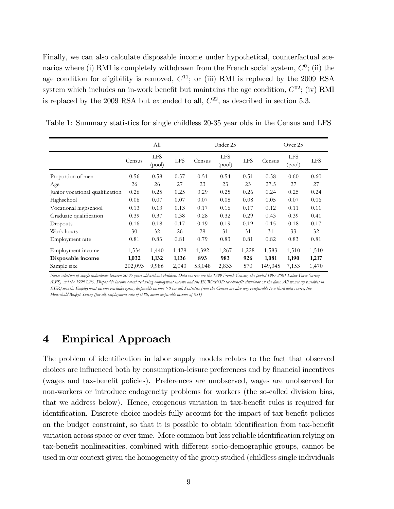Finally, we can also calculate disposable income under hypothetical, counterfactual scenarios where (i) RMI is completely withdrawn from the French social system,  $C^0$ ; (ii) the age condition for eligibility is removed,  $C^{11}$ ; or (iii) RMI is replaced by the 2009 RSA system which includes an in-work benefit but maintains the age condition,  $C^{02}$ ; (iv) RMI is replaced by the 2009 RSA but extended to all,  $C^{22}$ , as described in section 5.3.

|                                 |         | All                  |            |        | Under 25             |            |         | Over 25              |            |
|---------------------------------|---------|----------------------|------------|--------|----------------------|------------|---------|----------------------|------------|
|                                 | Census  | <b>LFS</b><br>(pool) | <b>LFS</b> | Census | <b>LFS</b><br>(pool) | <b>LFS</b> | Census  | <b>LFS</b><br>(pool) | <b>LFS</b> |
| Proportion of men               | 0.56    | 0.58                 | 0.57       | 0.51   | 0.54                 | 0.51       | 0.58    | 0.60                 | 0.60       |
| Age                             | 26      | 26                   | 27         | 23     | 23                   | 23         | 27.5    | 27                   | 27         |
| Junior vocational qualification | 0.26    | 0.25                 | 0.25       | 0.29   | 0.25                 | 0.26       | 0.24    | 0.25                 | 0.24       |
| Highschool                      | 0.06    | 0.07                 | 0.07       | 0.07   | 0.08                 | 0.08       | 0.05    | 0.07                 | 0.06       |
| Vocational highschool           | 0.13    | 0.13                 | 0.13       | 0.17   | 0.16                 | 0.17       | 0.12    | 0.11                 | 0.11       |
| Graduate qualification          | 0.39    | 0.37                 | 0.38       | 0.28   | 0.32                 | 0.29       | 0.43    | 0.39                 | 0.41       |
| Dropouts                        | 0.16    | 0.18                 | 0.17       | 0.19   | 0.19                 | 0.19       | 0.15    | 0.18                 | 0.17       |
| Work hours                      | 30      | 32                   | 26         | 29     | 31                   | 31         | 31      | 33                   | 32         |
| Employment rate                 | 0.81    | 0.83                 | 0.81       | 0.79   | 0.83                 | 0.81       | 0.82    | 0.83                 | 0.81       |
| Employment income               | 1,534   | 1,440                | 1,429      | 1,392  | 1,267                | 1,228      | 1,583   | 1,510                | 1,510      |
| Disposable income               | 1,032   | 1,132                | 1,136      | 893    | 983                  | 926        | 1,081   | 1,190                | 1,217      |
| Sample size                     | 202,093 | 9,986                | 2,040      | 53,048 | 2,833                | 570        | 149,045 | 7,153                | 1,470      |

Table 1: Summary statistics for single childless 20-35 year olds in the Census and LFS

*Note: selection of single individuals between 20-35 years old without children. Data sources are the 1999 French Census, the pooled 1997-2001 Labor Force Survey (LFS) and the 1999 LFS. Disposable income calculated using employment income and the EUROMOD tax-benefit simulator on the data. All monetary variables in EUR/month. Employment income excludes zeros, disposable income >0 f or all. Statistics f rom the Census are also very comparable to a third data source, the Household Budget Survey (for all, employment rate of 0.80, mean disposable income of 851)*

### 4 Empirical Approach

The problem of identification in labor supply models relates to the fact that observed choices are influenced both by consumption-leisure preferences and by financial incentives (wages and tax-benefit policies). Preferences are unobserved, wages are unobserved for non-workers or introduce endogeneity problems for workers (the so-called division bias, that we address below). Hence, exogenous variation in tax-benefit rules is required for identification. Discrete choice models fully account for the impact of tax-benefit policies on the budget constraint, so that it is possible to obtain identification from tax-benefit variation across space or over time. More common but less reliable identification relying on tax-benefit nonlinearities, combined with different socio-demographic groups, cannot be used in our context given the homogeneity of the group studied (childless single individuals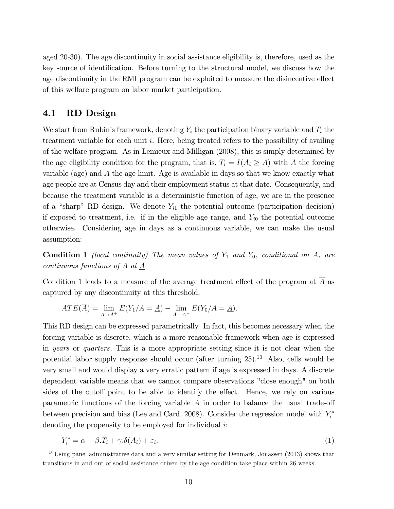aged 20-30). The age discontinuity in social assistance eligibility is, therefore, used as the key source of identification. Before turning to the structural model, we discuss how the age discontinuity in the RMI program can be exploited to measure the disincentive effect of this welfare program on labor market participation.

#### 4.1 RD Design

We start from Rubin's framework, denoting  $Y_i$  the participation binary variable and  $T_i$  the treatment variable for each unit i. Here, being treated refers to the possibility of availing of the welfare program. As in Lemieux and Milligan (2008), this is simply determined by the age eligibility condition for the program, that is,  $T_i = I(A_i \geq \underline{A})$  with A the forcing variable (age) and  $\underline{A}$  the age limit. Age is available in days so that we know exactly what age people are at Census day and their employment status at that date. Consequently, and because the treatment variable is a deterministic function of age, we are in the presence of a "sharp" RD design. We denote  $Y_{i1}$  the potential outcome (participation decision) if exposed to treatment, i.e. if in the eligible age range, and  $Y_{i0}$  the potential outcome otherwise. Considering age in days as a continuous variable, we can make the usual assumption:

**Condition 1** (local continuity) The mean values of  $Y_1$  and  $Y_0$ , conditional on A, are continuous functions of A at  $\underline{A}$ 

Condition 1 leads to a measure of the average treatment effect of the program at  $\overline{A}$  as captured by any discontinuity at this threshold:

$$
ATE(\overline{A}) = \lim_{A \to \underline{A}^+} E(Y_1/A = \underline{A}) - \lim_{A \to \underline{A}^-} E(Y_0/A = \underline{A}).
$$

This RD design can be expressed parametrically. In fact, this becomes necessary when the forcing variable is discrete, which is a more reasonable framework when age is expressed in years or quarters: This is a more appropriate setting since it is not clear when the potential labor supply response should occur (after turning  $25$ ).<sup>10</sup> Also, cells would be very small and would display a very erratic pattern if age is expressed in days. A discrete dependent variable means that we cannot compare observations "close enough" on both sides of the cutoff point to be able to identify the effect. Hence, we rely on various parametric functions of the forcing variable  $A$  in order to balance the usual trade-off between precision and bias (Lee and Card, 2008). Consider the regression model with  $Y_i^*$ denoting the propensity to be employed for individual i:

$$
Y_i^* = \alpha + \beta \cdot T_i + \gamma \cdot \delta(A_i) + \varepsilon_i. \tag{1}
$$

<sup>&</sup>lt;sup>10</sup>Using panel administrative data and a very similar setting for Denmark, Jonassen (2013) shows that transitions in and out of social assistance driven by the age condition take place within 26 weeks.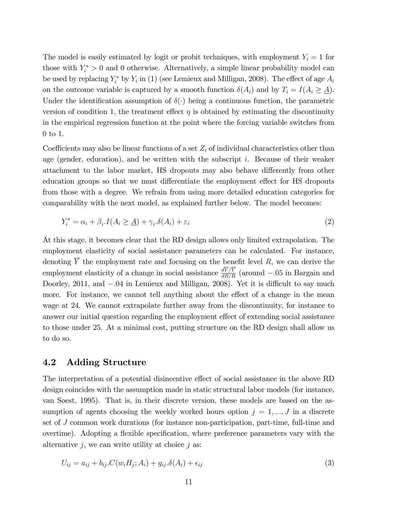The model is easily estimated by logit or probit techniques, with employment  $Y_i = 1$  for those with  $Y_i^* > 0$  and 0 otherwise. Alternatively, a simple linear probability model can be used by replacing  $Y_i^*$  by  $Y_i$  in (1) (see Lemieux and Milligan, 2008). The effect of age  $A_i$ on the outcome variable is captured by a smooth function  $\delta(A_i)$  and by  $T_i = I(A_i \geq \underline{A}).$ Under the identification assumption of  $\delta(\cdot)$  being a continuous function, the parametric version of condition 1, the treatment effect  $\eta$  is obtained by estimating the discontinuity in the empirical regression function at the point where the forcing variable switches from 0 to 1.

Coefficients may also be linear functions of a set  $Z_i$  of individual characteristics other than age (gender, education), and be written with the subscript  $i$ . Because of their weaker attachment to the labor market, HS dropouts may also behave differently from other education groups so that we must differentiate the employment effect for HS dropouts from those with a degree. We refrain from using more detailed education categories for comparability with the next model, as explained further below. The model becomes:

$$
Y_i^* = \alpha_i + \beta_i \cdot I(A_i \geq \underline{A}) + \gamma_i \cdot \delta(A_i) + \varepsilon_i \tag{2}
$$

At this stage, it becomes clear that the RD design allows only limited extrapolation. The employment elasticity of social assistance parameters can be calculated. For instance, denoting  $\overline{Y}$  the employment rate and focusing on the benefit level R, we can derive the employment elasticity of a change in social assistance  $\frac{dY}{dR/R}$  (around  $-.05$  in Bargain and Doorley, 2011, and  $-.04$  in Lemieux and Milligan, 2008). Yet it is difficult to say much more. For instance, we cannot tell anything about the effect of a change in the mean wage at 24. We cannot extrapolate further away from the discontinuity, for instance to answer our initial question regarding the employment effect of extending social assistance to those under 25. At a minimal cost, putting structure on the RD design shall allow us to do so.

#### 4.2 Adding Structure

The interpretation of a potential disincentive effect of social assistance in the above RD design coincides with the assumption made in static structural labor models (for instance, van Soest, 1995). That is, in their discrete version, these models are based on the assumption of agents choosing the weekly worked hours option  $j = 1, ..., J$  in a discrete set of J common work durations (for instance non-participation, part-time, full-time and overtime). Adopting a flexible specification, where preference parameters vary with the alternative  $j$ , we can write utility at choice  $j$  as:

$$
U_{ij} = a_{ij} + b_{ij} \cdot C(w_i H_j; A_i) + g_{ij} \cdot \delta(A_i) + \epsilon_{ij}
$$
\n
$$
(3)
$$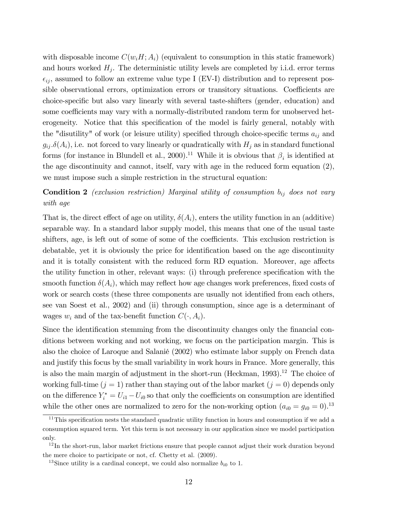with disposable income  $C(w_iH; A_i)$  (equivalent to consumption in this static framework) and hours worked  $H_j$ . The deterministic utility levels are completed by i.i.d. error terms  $\epsilon_{ij}$ , assumed to follow an extreme value type I (EV-I) distribution and to represent possible observational errors, optimization errors or transitory situations. Coefficients are choice-specific but also vary linearly with several taste-shifters (gender, education) and some coefficients may vary with a normally-distributed random term for unobserved heterogeneity. Notice that this specification of the model is fairly general, notably with the "disutility" of work (or leisure utility) specified through choice-specific terms  $a_{ij}$  and  $g_{ij}$   $\delta(A_i)$ , i.e. not forced to vary linearly or quadratically with  $H_j$  as in standard functional forms (for instance in Blundell et al., 2000).<sup>11</sup> While it is obvious that  $\beta_i$  is identified at the age discontinuity and cannot, itself, vary with age in the reduced form equation (2), we must impose such a simple restriction in the structural equation:

**Condition 2** (exclusion restriction) Marginal utility of consumption  $b_{ij}$  does not vary with age

That is, the direct effect of age on utility,  $\delta(A_i)$ , enters the utility function in an (additive) separable way. In a standard labor supply model, this means that one of the usual taste shifters, age, is left out of some of some of the coefficients. This exclusion restriction is debatable, yet it is obviously the price for identification based on the age discontinuity and it is totally consistent with the reduced form RD equation. Moreover, age affects the utility function in other, relevant ways: (i) through preference specification with the smooth function  $\delta(A_i)$ , which may reflect how age changes work preferences, fixed costs of work or search costs (these three components are usually not identified from each others, see van Soest et al., 2002) and (ii) through consumption, since age is a determinant of wages  $w_i$  and of the tax-benefit function  $C(\cdot, A_i)$ .

Since the identification stemming from the discontinuity changes only the financial conditions between working and not working, we focus on the participation margin. This is also the choice of Laroque and Salanié (2002) who estimate labor supply on French data and justify this focus by the small variability in work hours in France. More generally, this is also the main margin of adjustment in the short-run (Heckman,  $1993$ ).<sup>12</sup> The choice of working full-time  $(j = 1)$  rather than staying out of the labor market  $(j = 0)$  depends only on the difference  $Y_i^* = U_{i1} - U_{i0}$  so that only the coefficients on consumption are identified while the other ones are normalized to zero for the non-working option  $(a_{i0} = g_{i0} = 0).^{13}$ 

 $11$ This specification nests the standard quadratic utility function in hours and consumption if we add a consumption squared term. Yet this term is not necessary in our application since we model participation only.

 $12$ In the short-run, labor market frictions ensure that people cannot adjust their work duration beyond the mere choice to participate or not, cf. Chetty et al. (2009).

<sup>&</sup>lt;sup>13</sup>Since utility is a cardinal concept, we could also normalize  $b_{i0}$  to 1.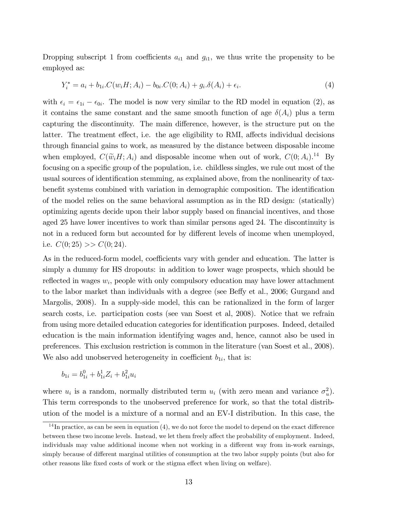Dropping subscript 1 from coefficients  $a_{i1}$  and  $g_{i1}$ , we thus write the propensity to be employed as:

$$
Y_i^* = a_i + b_{1i} \cdot C(w_i H; A_i) - b_{0i} \cdot C(0; A_i) + g_i \cdot \delta(A_i) + \epsilon_i.
$$
\n(4)

with  $\epsilon_i = \epsilon_{1i} - \epsilon_{0i}$ . The model is now very similar to the RD model in equation (2), as it contains the same constant and the same smooth function of age  $\delta(A_i)$  plus a term capturing the discontinuity. The main difference, however, is the structure put on the latter. The treatment effect, i.e. the age eligibility to RMI, affects individual decisions through financial gains to work, as measured by the distance between disposable income when employed,  $C(\widetilde{w}_iH; A_i)$  and disposable income when out of work,  $C(0; A_i)$ .<sup>14</sup> By focusing on a specific group of the population, i.e. childless singles, we rule out most of the usual sources of identification stemming, as explained above, from the nonlinearity of taxbenefit systems combined with variation in demographic composition. The identification of the model relies on the same behavioral assumption as in the RD design: (statically) optimizing agents decide upon their labor supply based on financial incentives, and those aged 25 have lower incentives to work than similar persons aged 24. The discontinuity is not in a reduced form but accounted for by different levels of income when unemployed, i.e.  $C(0; 25) >> C(0; 24)$ .

As in the reduced-form model, coefficients vary with gender and education. The latter is simply a dummy for HS dropouts: in addition to lower wage prospects, which should be reflected in wages  $w_i$ , people with only compulsory education may have lower attachment to the labor market than individuals with a degree (see Beffy et al., 2006; Gurgand and Margolis, 2008). In a supply-side model, this can be rationalized in the form of larger search costs, i.e. participation costs (see van Soest et al, 2008). Notice that we refrain from using more detailed education categories for identification purposes. Indeed, detailed education is the main information identifying wages and, hence, cannot also be used in preferences. This exclusion restriction is common in the literature (van Soest et al., 2008). We also add unobserved heterogeneity in coefficient  $b_{1i}$ , that is:

$$
b_{1i} = b_{1i}^0 + b_{1i}^1 Z_i + b_{1i}^2 u_i
$$

where  $u_i$  is a random, normally distributed term  $u_i$  (with zero mean and variance  $\sigma_u^2$ ). This term corresponds to the unobserved preference for work, so that the total distribution of the model is a mixture of a normal and an EV-I distribution. In this case, the

 $14$  In practice, as can be seen in equation (4), we do not force the model to depend on the exact difference between these two income levels. Instead, we let them freely affect the probability of employment. Indeed, individuals may value additional income when not working in a different way from in-work earnings, simply because of different marginal utilities of consumption at the two labor supply points (but also for other reasons like fixed costs of work or the stigma effect when living on welfare).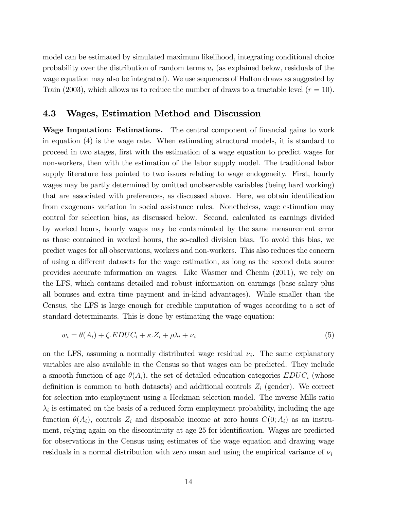model can be estimated by simulated maximum likelihood, integrating conditional choice probability over the distribution of random terms  $u_i$  (as explained below, residuals of the wage equation may also be integrated). We use sequences of Halton draws as suggested by Train (2003), which allows us to reduce the number of draws to a tractable level  $(r = 10)$ .

#### 4.3 Wages, Estimation Method and Discussion

Wage Imputation: Estimations. The central component of financial gains to work in equation (4) is the wage rate. When estimating structural models, it is standard to proceed in two stages, Örst with the estimation of a wage equation to predict wages for non-workers, then with the estimation of the labor supply model. The traditional labor supply literature has pointed to two issues relating to wage endogeneity. First, hourly wages may be partly determined by omitted unobservable variables (being hard working) that are associated with preferences, as discussed above. Here, we obtain identification from exogenous variation in social assistance rules. Nonetheless, wage estimation may control for selection bias, as discussed below. Second, calculated as earnings divided by worked hours, hourly wages may be contaminated by the same measurement error as those contained in worked hours, the so-called division bias. To avoid this bias, we predict wages for all observations, workers and non-workers. This also reduces the concern of using a different datasets for the wage estimation, as long as the second data source provides accurate information on wages. Like Wasmer and Chenin (2011), we rely on the LFS, which contains detailed and robust information on earnings (base salary plus all bonuses and extra time payment and in-kind advantages). While smaller than the Census, the LFS is large enough for credible imputation of wages according to a set of standard determinants. This is done by estimating the wage equation:

$$
w_i = \theta(A_i) + \zeta .EDUC_i + \kappa . Z_i + \rho \lambda_i + \nu_i \tag{5}
$$

on the LFS, assuming a normally distributed wage residual  $\nu_i$ . The same explanatory variables are also available in the Census so that wages can be predicted. They include a smooth function of age  $\theta(A_i)$ , the set of detailed education categories  $EDUC_i$  (whose definition is common to both datasets) and additional controls  $Z_i$  (gender). We correct for selection into employment using a Heckman selection model. The inverse Mills ratio  $\lambda_i$  is estimated on the basis of a reduced form employment probability, including the age function  $\theta(A_i)$ , controls  $Z_i$  and disposable income at zero hours  $C(0; A_i)$  as an instrument, relying again on the discontinuity at age 25 for identification. Wages are predicted for observations in the Census using estimates of the wage equation and drawing wage residuals in a normal distribution with zero mean and using the empirical variance of  $\nu_i$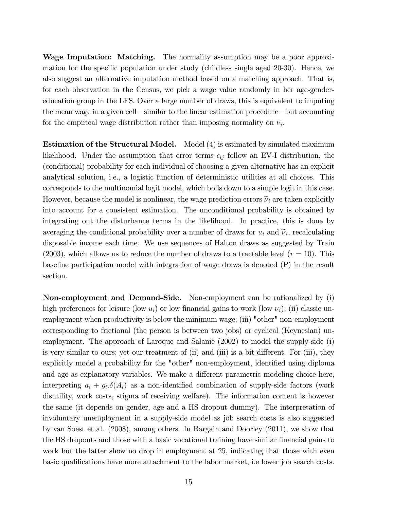Wage Imputation: Matching. The normality assumption may be a poor approximation for the specific population under study (childless single aged  $20-30$ ). Hence, we also suggest an alternative imputation method based on a matching approach. That is, for each observation in the Census, we pick a wage value randomly in her age-gendereducation group in the LFS. Over a large number of draws, this is equivalent to imputing the mean wage in a given cell  $\sim$  similar to the linear estimation procedure  $\sim$  but accounting for the empirical wage distribution rather than imposing normality on  $\nu_i$ .

**Estimation of the Structural Model.** Model (4) is estimated by simulated maximum likelihood. Under the assumption that error terms  $\epsilon_{ij}$  follow an EV-I distribution, the (conditional) probability for each individual of choosing a given alternative has an explicit analytical solution, i.e., a logistic function of deterministic utilities at all choices. This corresponds to the multinomial logit model, which boils down to a simple logit in this case. However, because the model is nonlinear, the wage prediction errors  $\tilde{\nu}_i$  are taken explicitly into account for a consistent estimation. The unconditional probability is obtained by integrating out the disturbance terms in the likelihood. In practice, this is done by averaging the conditional probability over a number of draws for  $u_i$  and  $\tilde{\nu}_i$ , recalculating disposable income each time. We use sequences of Halton draws as suggested by Train (2003), which allows us to reduce the number of draws to a tractable level  $(r = 10)$ . This baseline participation model with integration of wage draws is denoted (P) in the result section.

Non-employment and Demand-Side. Non-employment can be rationalized by (i) high preferences for leisure (low  $u_i$ ) or low financial gains to work (low  $\nu_i$ ); (ii) classic unemployment when productivity is below the minimum wage; (iii) "other" non-employment corresponding to frictional (the person is between two jobs) or cyclical (Keynesian) unemployment. The approach of Laroque and Salanié  $(2002)$  to model the supply-side  $(i)$ is very similar to ours; yet our treatment of (ii) and (iii) is a bit different. For (iii), they explicitly model a probability for the "other" non-employment, identified using diploma and age as explanatory variables. We make a different parametric modeling choice here, interpreting  $a_i + g_i \delta(A_i)$  as a non-identified combination of supply-side factors (work disutility, work costs, stigma of receiving welfare). The information content is however the same (it depends on gender, age and a HS dropout dummy). The interpretation of involuntary unemployment in a supply-side model as job search costs is also suggested by van Soest et al. (2008), among others. In Bargain and Doorley (2011), we show that the HS dropouts and those with a basic vocational training have similar financial gains to work but the latter show no drop in employment at 25, indicating that those with even basic qualifications have more attachment to the labor market, i.e lower job search costs.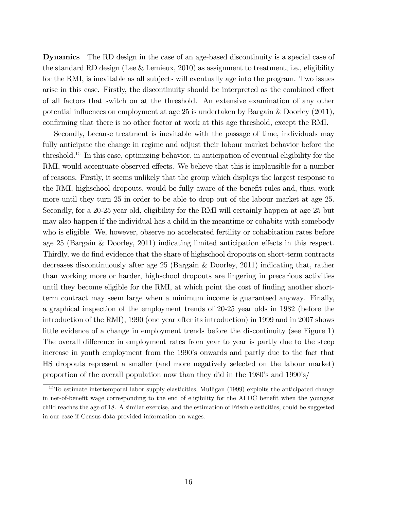Dynamics The RD design in the case of an age-based discontinuity is a special case of the standard RD design (Lee & Lemieux, 2010) as assignment to treatment, i.e., eligibility for the RMI, is inevitable as all subjects will eventually age into the program. Two issues arise in this case. Firstly, the discontinuity should be interpreted as the combined effect of all factors that switch on at the threshold. An extensive examination of any other potential influences on employment at age 25 is undertaken by Bargain  $\&$  Doorley (2011), confirming that there is no other factor at work at this age threshold, except the RMI.

Secondly, because treatment is inevitable with the passage of time, individuals may fully anticipate the change in regime and adjust their labour market behavior before the threshold.<sup>15</sup> In this case, optimizing behavior, in anticipation of eventual eligibility for the RMI, would accentuate observed effects. We believe that this is implausible for a number of reasons. Firstly, it seems unlikely that the group which displays the largest response to the RMI, highschool dropouts, would be fully aware of the benefit rules and, thus, work more until they turn 25 in order to be able to drop out of the labour market at age 25. Secondly, for a 20-25 year old, eligibility for the RMI will certainly happen at age 25 but may also happen if the individual has a child in the meantime or cohabits with somebody who is eligible. We, however, observe no accelerated fertility or cohabitation rates before age 25 (Bargain  $&$  Doorley, 2011) indicating limited anticipation effects in this respect. Thirdly, we do find evidence that the share of highschool dropouts on short-term contracts decreases discontinuously after age 25 (Bargain & Doorley, 2011) indicating that, rather than working more or harder, highschool dropouts are lingering in precarious activities until they become eligible for the RMI, at which point the cost of finding another shortterm contract may seem large when a minimum income is guaranteed anyway. Finally, a graphical inspection of the employment trends of 20-25 year olds in 1982 (before the introduction of the RMI), 1990 (one year after its introduction) in 1999 and in 2007 shows little evidence of a change in employment trends before the discontinuity (see Figure 1) The overall difference in employment rates from year to year is partly due to the steep increase in youth employment from the 1990's onwards and partly due to the fact that HS dropouts represent a smaller (and more negatively selected on the labour market) proportion of the overall population now than they did in the  $1980$ 's and  $1990$ 's/

<sup>&</sup>lt;sup>15</sup>To estimate intertemporal labor supply elasticities, Mulligan (1999) exploits the anticipated change in net-of-benefit wage corresponding to the end of eligibility for the AFDC benefit when the youngest child reaches the age of 18. A similar exercise, and the estimation of Frisch elasticities, could be suggested in our case if Census data provided information on wages.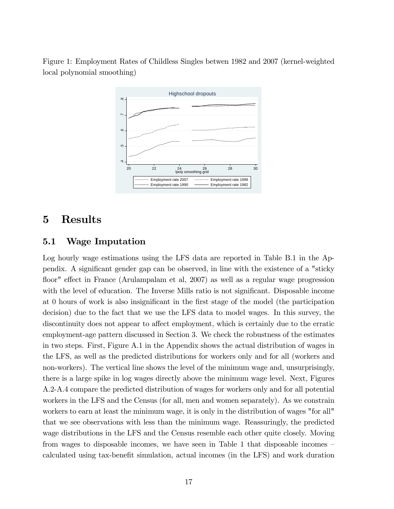Figure 1: Employment Rates of Childless Singles betwen 1982 and 2007 (kernel-weighted local polynomial smoothing)



### 5 Results

#### 5.1 Wage Imputation

Log hourly wage estimations using the LFS data are reported in Table B.1 in the Appendix. A significant gender gap can be observed, in line with the existence of a "sticky" floor" effect in France (Arulampalam et al, 2007) as well as a regular wage progression with the level of education. The Inverse Mills ratio is not significant. Disposable income at 0 hours of work is also insignificant in the first stage of the model (the participation decision) due to the fact that we use the LFS data to model wages. In this survey, the discontinuity does not appear to affect employment, which is certainly due to the erratic employment-age pattern discussed in Section 3. We check the robustness of the estimates in two steps. First, Figure A.1 in the Appendix shows the actual distribution of wages in the LFS, as well as the predicted distributions for workers only and for all (workers and non-workers). The vertical line shows the level of the minimum wage and, unsurprisingly, there is a large spike in log wages directly above the minimum wage level. Next, Figures A.2-A.4 compare the predicted distribution of wages for workers only and for all potential workers in the LFS and the Census (for all, men and women separately). As we constrain workers to earn at least the minimum wage, it is only in the distribution of wages "for all" that we see observations with less than the minimum wage. Reassuringly, the predicted wage distributions in the LFS and the Census resemble each other quite closely. Moving from wages to disposable incomes, we have seen in Table 1 that disposable incomes  $$ calculated using tax-benefit simulation, actual incomes (in the LFS) and work duration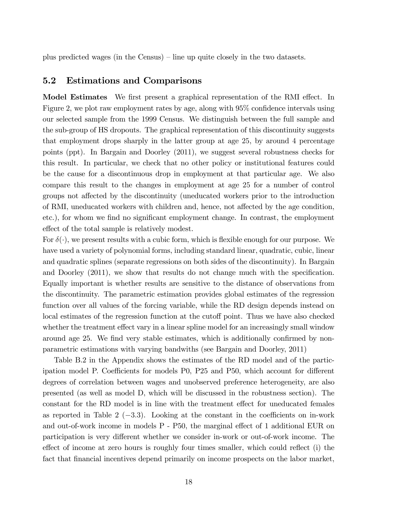plus predicted wages (in the Census) – line up quite closely in the two datasets.

#### 5.2 Estimations and Comparisons

Model Estimates We first present a graphical representation of the RMI effect. In Figure 2, we plot raw employment rates by age, along with  $95\%$  confidence intervals using our selected sample from the 1999 Census. We distinguish between the full sample and the sub-group of HS dropouts. The graphical representation of this discontinuity suggests that employment drops sharply in the latter group at age 25, by around 4 percentage points (ppt). In Bargain and Doorley (2011), we suggest several robustness checks for this result. In particular, we check that no other policy or institutional features could be the cause for a discontinuous drop in employment at that particular age. We also compare this result to the changes in employment at age 25 for a number of control groups not affected by the discontinuity (uneducated workers prior to the introduction of RMI, uneducated workers with children and, hence, not affected by the age condition, etc.), for whom we find no significant employment change. In contrast, the employment effect of the total sample is relatively modest.

For  $\delta(\cdot)$ , we present results with a cubic form, which is flexible enough for our purpose. We have used a variety of polynomial forms, including standard linear, quadratic, cubic, linear and quadratic splines (separate regressions on both sides of the discontinuity). In Bargain and Doorley  $(2011)$ , we show that results do not change much with the specification. Equally important is whether results are sensitive to the distance of observations from the discontinuity. The parametric estimation provides global estimates of the regression function over all values of the forcing variable, while the RD design depends instead on local estimates of the regression function at the cutoff point. Thus we have also checked whether the treatment effect vary in a linear spline model for an increasingly small window around age 25. We find very stable estimates, which is additionally confirmed by nonparametric estimations with varying bandwiths (see Bargain and Doorley, 2011)

Table B.2 in the Appendix shows the estimates of the RD model and of the participation model P. Coefficients for models P0, P25 and P50, which account for different degrees of correlation between wages and unobserved preference heterogeneity, are also presented (as well as model D, which will be discussed in the robustness section). The constant for the RD model is in line with the treatment effect for uneducated females as reported in Table 2  $(-3.3)$ . Looking at the constant in the coefficients on in-work and out-of-work income in models  $P - P50$ , the marginal effect of 1 additional EUR on participation is very different whether we consider in-work or out-of-work income. The effect of income at zero hours is roughly four times smaller, which could reflect (i) the fact that financial incentives depend primarily on income prospects on the labor market,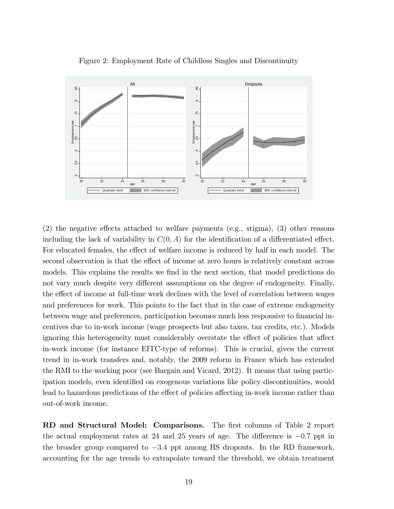

Figure 2: Employment Rate of Childless Singles and Discontinuity

 $(2)$  the negative effects attached to welfare payments (e.g., stigma), (3) other reasons including the lack of variability in  $C(0, A)$  for the identification of a differentiated effect. For educated females, the effect of welfare income is reduced by half in each model. The second observation is that the effect of income at zero hours is relatively constant across models. This explains the results we find in the next section, that model predictions do not vary much despite very different assumptions on the degree of endogeneity. Finally, the effect of income at full-time work declines with the level of correlation between wages and preferences for work. This points to the fact that in the case of extreme endogeneity between wage and preferences, participation becomes much less responsive to financial incentives due to in-work income (wage prospects but also taxes, tax credits, etc.). Models ignoring this heterogeneity must considerably overstate the effect of policies that affect in-work income (for instance EITC-type of reforms). This is crucial, given the current trend in in-work transfers and, notably, the 2009 reform in France which has extended the RMI to the working poor (see Bargain and Vicard, 2012). It means that using participation models, even identified on exogenous variations like policy discontinuities, would lead to hazardous predictions of the effect of policies affecting in-work income rather than out-of-work income.

RD and Structural Model: Comparisons. The first columns of Table 2 report the actual employment rates at 24 and 25 years of age. The difference is  $-0.7$  ppt in the broader group compared to  $-3.4$  ppt among HS dropouts. In the RD framework, accounting for the age trends to extrapolate toward the threshold, we obtain treatment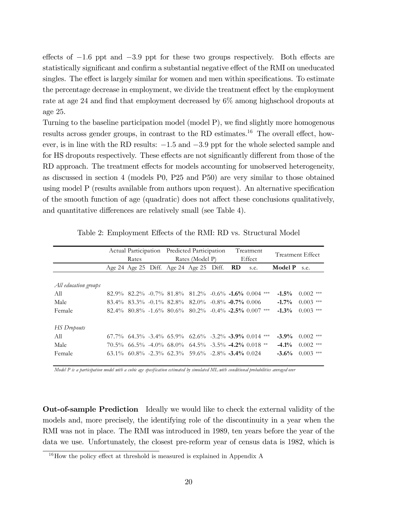effects of  $-1.6$  ppt and  $-3.9$  ppt for these two groups respectively. Both effects are statistically significant and confirm a substantial negative effect of the RMI on uneducated singles. The effect is largely similar for women and men within specifications. To estimate the percentage decrease in employment, we divide the treatment effect by the employment rate at age 24 and find that employment decreased by  $6\%$  among highschool dropouts at age 25.

Turning to the baseline participation model (model P), we find slightly more homogenous results across gender groups, in contrast to the RD estimates.<sup>16</sup> The overall effect, however, is in line with the RD results:  $-1.5$  and  $-3.9$  ppt for the whole selected sample and for HS dropouts respectively. These effects are not significantly different from those of the RD approach. The treatment effects for models accounting for unobserved heterogeneity, as discussed in section 4 (models P0, P25 and P50) are very similar to those obtained using model  $P$  (results available from authors upon request). An alternative specification of the smooth function of age (quadratic) does not affect these conclusions qualitatively, and quantitative differences are relatively small (see Table 4).

|                      | Actual Participation Predicted Participation |       |  |                                                                            |  | Treatment |          |                  |  |  |
|----------------------|----------------------------------------------|-------|--|----------------------------------------------------------------------------|--|-----------|----------|------------------|--|--|
|                      |                                              | Rates |  | Rates (Model P)                                                            |  | Effect    |          | Treatment Effect |  |  |
|                      |                                              |       |  | Age 24 Age 25 Diff. Age 24 Age 25 Diff. $RD$                               |  | s.e.      | Model P  | s.e.             |  |  |
|                      |                                              |       |  |                                                                            |  |           |          |                  |  |  |
| All education groups |                                              |       |  |                                                                            |  |           |          |                  |  |  |
| A11                  |                                              |       |  | $82.9\%$ $82.2\%$ $-0.7\%$ $81.8\%$ $81.2\%$ $-0.6\%$ $-1.6\%$ $0.004$ *** |  |           | $-1.5\%$ | $0.002$ ***      |  |  |
| Male                 |                                              |       |  | $83.4\%$ $83.3\%$ $-0.1\%$ $82.8\%$ $82.0\%$ $-0.8\%$ $-0.7\%$ 0.006       |  |           | $-1.7\%$ | $0.003$ ***      |  |  |
| Female               |                                              |       |  | $82.4\%$ $80.8\%$ $-1.6\%$ $80.6\%$ $80.2\%$ $-0.4\%$ $-2.5\%$ 0.007 ***   |  |           | $-1.3%$  | $0.003$ ***      |  |  |
|                      |                                              |       |  |                                                                            |  |           |          |                  |  |  |
| <b>HS</b> Dropouts   |                                              |       |  |                                                                            |  |           |          |                  |  |  |
| A11                  |                                              |       |  | $67.7\%$ $64.3\%$ $-3.4\%$ $65.9\%$ $62.6\%$ $-3.2\%$ $-3.9\%$ 0.014 ***   |  |           | $-3.9\%$ | $0.002$ ***      |  |  |
| Male                 |                                              |       |  | $70.5\%$ 66.5% -4.0% 68.0% 64.5% -3.5% -4.2% 0.018 **                      |  |           | $-4.1\%$ | $0.002$ ***      |  |  |
| Female               |                                              |       |  | $63.1\%$ $60.8\%$ $-2.3\%$ $62.3\%$ $59.6\%$ $-2.8\%$ $-3.4\%$ $0.024$     |  |           | $-3.6%$  | $0.003$ ***      |  |  |

Table 2: Employment Effects of the RMI: RD vs. Structural Model

*Model P is a participation model with a cubic age specification estimated by simulated ML with conditional probabilities averaged over*

Out-of-sample Prediction Ideally we would like to check the external validity of the models and, more precisely, the identifying role of the discontinuity in a year when the RMI was not in place. The RMI was introduced in 1989, ten years before the year of the data we use. Unfortunately, the closest pre-reform year of census data is 1982, which is

 $16$ How the policy effect at threshold is measured is explained in Appendix A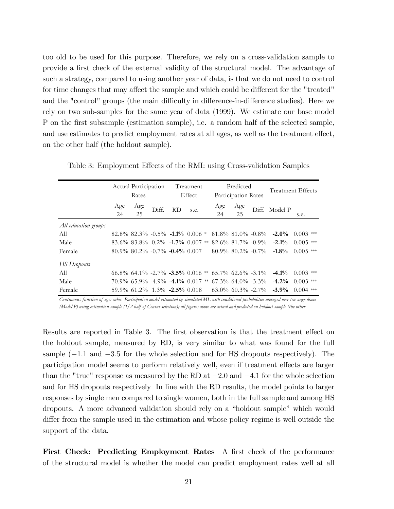too old to be used for this purpose. Therefore, we rely on a cross-validation sample to provide a Örst check of the external validity of the structural model. The advantage of such a strategy, compared to using another year of data, is that we do not need to control for time changes that may affect the sample and which could be different for the "treated" and the "control" groups (the main difficulty in difference-in-difference studies). Here we rely on two sub-samples for the same year of data (1999). We estimate our base model P on the first subsample (estimation sample), i.e. a random half of the selected sample, and use estimates to predict employment rates at all ages, as well as the treatment effect, on the other half (the holdout sample).

|                      | Actual Participation<br>Rates |                                             |       | Treatment<br>Effect |      | Predicted<br>Participation Rates |           |                                                             | Treatment Effects |                                                                                                 |             |  |
|----------------------|-------------------------------|---------------------------------------------|-------|---------------------|------|----------------------------------|-----------|-------------------------------------------------------------|-------------------|-------------------------------------------------------------------------------------------------|-------------|--|
|                      | Age<br>24                     | Age<br>25                                   | Diff. | RD.                 | s.e. |                                  | Age<br>24 | Age<br>25                                                   |                   | Diff. Model P                                                                                   | s.e.        |  |
| All education groups |                               |                                             |       |                     |      |                                  |           |                                                             |                   |                                                                                                 |             |  |
| All                  |                               |                                             |       |                     |      |                                  |           |                                                             |                   | $82.8\%$ $82.3\%$ $-0.5\%$ $-1.1\%$ $0.006 *$ $81.8\%$ $81.0\%$ $-0.8\%$ $-2.0\%$ $0.003$ $***$ |             |  |
| Male                 |                               |                                             |       |                     |      |                                  |           |                                                             |                   | $83.6\%$ $83.8\%$ $0.2\%$ $-1.7\%$ $0.007$ ** $82.6\%$ $81.7\%$ $-0.9\%$ $-2.1\%$               | $0.005$ *** |  |
| Female               |                               | $80.9\%$ $80.2\%$ $-0.7\%$ $-0.4\%$ $0.007$ |       |                     |      |                                  |           |                                                             |                   | $80.9\%$ $80.2\%$ $-0.7\%$ $-1.8\%$                                                             | $0.005$ *** |  |
| <b>HS</b> Dropouts   |                               |                                             |       |                     |      |                                  |           |                                                             |                   |                                                                                                 |             |  |
| All                  |                               |                                             |       |                     |      |                                  |           | $66.8\%$ 64.1\% -2.7\% -3.5\% 0.016 ** 65.7\% 62.6\% -3.1\% |                   | $-4.1\%$                                                                                        | $0.003$ *** |  |
| Male                 |                               |                                             |       |                     |      |                                  |           |                                                             |                   | $70.9\%$ 65.9% -4.9% -4.1% 0.017 ** 67.3% 64.0% -3.3% -4.2% 0.003 ***                           |             |  |
| Female               |                               |                                             |       |                     |      |                                  |           |                                                             |                   | $59.9\%$ $61.2\%$ $1.3\%$ $-2.5\%$ $0.018$ $63.0\%$ $60.3\%$ $-2.7\%$ $-3.9\%$                  | $0.004$ *** |  |

Table 3: Employment Effects of the RMI: using Cross-validation Samples

*Continuous function of age: cubic. Participation model estimated by simulated ML with conditional probabilities averaged over ten wage draws (Model P) using estimation sample (1/2 half of Census selection); all figures above are actual and predicted on holdout sample (the other*

Results are reported in Table 3. The first observation is that the treatment effect on the holdout sample, measured by RD, is very similar to what was found for the full sample  $(-1.1$  and  $-3.5$  for the whole selection and for HS dropouts respectively). The participation model seems to perform relatively well, even if treatment effects are larger than the "true" response as measured by the RD at  $-2.0$  and  $-4.1$  for the whole selection and for HS dropouts respectively In line with the RD results, the model points to larger responses by single men compared to single women, both in the full sample and among HS dropouts. A more advanced validation should rely on a "holdout sample" which would differ from the sample used in the estimation and whose policy regime is well outside the support of the data.

First Check: Predicting Employment Rates A first check of the performance of the structural model is whether the model can predict employment rates well at all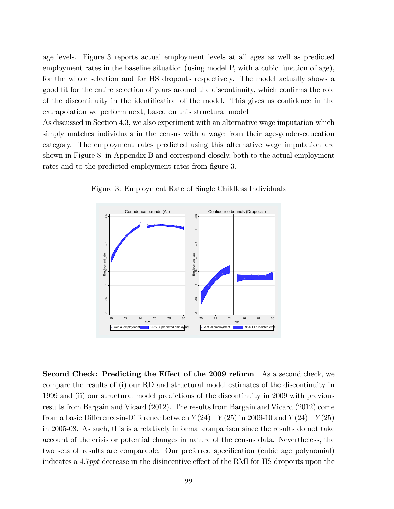age levels. Figure 3 reports actual employment levels at all ages as well as predicted employment rates in the baseline situation (using model P, with a cubic function of age), for the whole selection and for HS dropouts respectively. The model actually shows a good fit for the entire selection of years around the discontinuity, which confirms the role of the discontinuity in the identification of the model. This gives us confidence in the extrapolation we perform next, based on this structural model

As discussed in Section 4.3, we also experiment with an alternative wage imputation which simply matches individuals in the census with a wage from their age-gender-education category. The employment rates predicted using this alternative wage imputation are shown in Figure 8 in Appendix B and correspond closely, both to the actual employment rates and to the predicted employment rates from figure 3.



Figure 3: Employment Rate of Single Childless Individuals

Second Check: Predicting the Effect of the 2009 reform As a second check, we compare the results of (i) our RD and structural model estimates of the discontinuity in 1999 and (ii) our structural model predictions of the discontinuity in 2009 with previous results from Bargain and Vicard (2012). The results from Bargain and Vicard (2012) come from a basic Difference-in-Difference between  $Y(24)-Y(25)$  in 2009-10 and  $Y(24)-Y(25)$ in 2005-08. As such, this is a relatively informal comparison since the results do not take account of the crisis or potential changes in nature of the census data. Nevertheless, the two sets of results are comparable. Our preferred specification (cubic age polynomial) indicates a 4.7ppt decrease in the disincentive effect of the RMI for HS dropouts upon the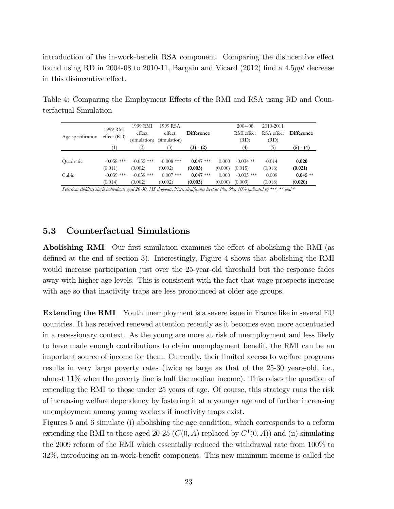introduction of the in-work-benefit RSA component. Comparing the disincentive effect found using RD in 2004-08 to 2010-11, Bargain and Vicard  $(2012)$  find a 4.5*ppt* decrease in this disincentive effect.

Table 4: Comparing the Employment Effects of the RMI and RSA using RD and Counterfactual Simulation

| Age specification | 1999 RMI<br>effect (RD) | 1999 RMI<br>effect<br>(simulation) | 1999 RSA<br>effect<br>(simulation) | <b>Difference</b> |         | 2004-08<br>RMI effect<br>(RD) | 2010-2011<br>RSA effect<br>(RD) | <b>Difference</b> |
|-------------------|-------------------------|------------------------------------|------------------------------------|-------------------|---------|-------------------------------|---------------------------------|-------------------|
|                   | '1)                     | 2)                                 | 3)                                 | $(3) - (2)$       |         | (4)                           | (5)                             | $(5) - (4)$       |
| Ouadratic         | $-0.058$ ***            | $-0.055$ ***                       | $-0.008$ ***                       | $0.047$ ***       | 0.000   | $-0.034$ **                   | $-0.014$                        | 0.020             |
|                   | (0.011)                 | (0.002)                            | (0.002)                            | (0.003)           | (0.000) | (0.015)                       | (0.016)                         | (0.021)           |
| Cubic             | $-0.039$ ***            | $-0.039$ ***                       | $0.007$ ***                        | $0.047$ ***       | 0.000   | $-0.035$ ***                  | 0.009                           | $0.045**$         |
|                   | (0.014)                 | (0.002)                            | (0.002)                            | (0.003)           | (0.000) | (0.009)                       | (0.018)                         | (0.020)           |

*Selection: childless single individuals aged 20-30, HS dropouts. Note: significance level at 1%, 5%, 10% indicated by \*\*\*, \*\* and \**

### 5.3 Counterfactual Simulations

Abolishing RMI Our first simulation examines the effect of abolishing the RMI (as defined at the end of section 3). Interestingly, Figure 4 shows that abolishing the RMI would increase participation just over the 25-year-old threshold but the response fades away with higher age levels. This is consistent with the fact that wage prospects increase with age so that inactivity traps are less pronounced at older age groups.

**Extending the RMI** Youth unemployment is a severe issue in France like in several EU countries. It has received renewed attention recently as it becomes even more accentuated in a recessionary context. As the young are more at risk of unemployment and less likely to have made enough contributions to claim unemployment benefit, the RMI can be an important source of income for them. Currently, their limited access to welfare programs results in very large poverty rates (twice as large as that of the 25-30 years-old, i.e., almost 11% when the poverty line is half the median income). This raises the question of extending the RMI to those under 25 years of age. Of course, this strategy runs the risk of increasing welfare dependency by fostering it at a younger age and of further increasing unemployment among young workers if inactivity traps exist.

Figures 5 and 6 simulate (i) abolishing the age condition, which corresponds to a reform extending the RMI to those aged 20-25  $(C(0, A)$  replaced by  $C^1(0, A)$  and (ii) simulating the 2009 reform of the RMI which essentially reduced the withdrawal rate from 100% to  $32\%$ , introducing an in-work-benefit component. This new minimum income is called the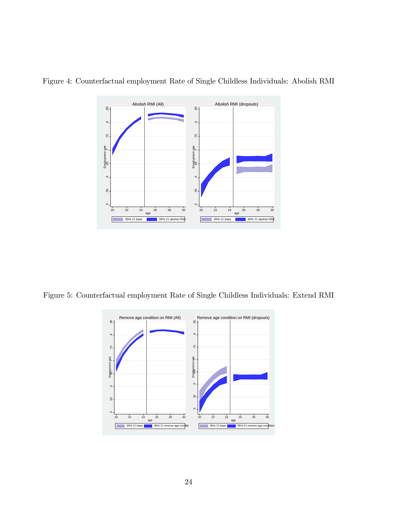

Figure 4: Counterfactual employment Rate of Single Childless Individuals: Abolish RMI

Figure 5: Counterfactual employment Rate of Single Childless Individuals: Extend RMI

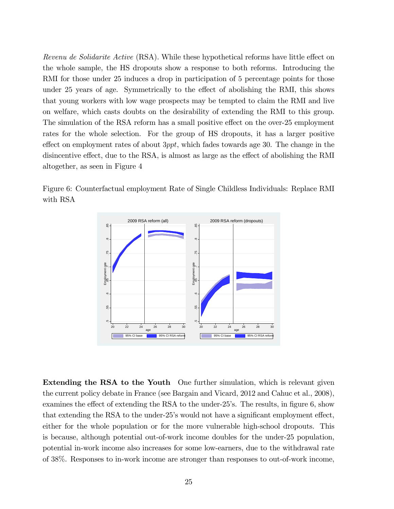Revenu de Solidarite Active (RSA). While these hypothetical reforms have little effect on the whole sample, the HS dropouts show a response to both reforms. Introducing the RMI for those under 25 induces a drop in participation of 5 percentage points for those under 25 years of age. Symmetrically to the effect of abolishing the RMI, this shows that young workers with low wage prospects may be tempted to claim the RMI and live on welfare, which casts doubts on the desirability of extending the RMI to this group. The simulation of the RSA reform has a small positive effect on the over-25 employment rates for the whole selection. For the group of HS dropouts, it has a larger positive effect on employment rates of about  $3ppt$ , which fades towards age 30. The change in the disincentive effect, due to the RSA, is almost as large as the effect of abolishing the RMI altogether, as seen in Figure 4

Figure 6: Counterfactual employment Rate of Single Childless Individuals: Replace RMI with RSA



Extending the RSA to the Youth One further simulation, which is relevant given the current policy debate in France (see Bargain and Vicard, 2012 and Cahuc et al., 2008), examines the effect of extending the RSA to the under- $25$ 's. The results, in figure 6, show that extending the RSA to the under-25's would not have a significant employment effect, either for the whole population or for the more vulnerable high-school dropouts. This is because, although potential out-of-work income doubles for the under-25 population, potential in-work income also increases for some low-earners, due to the withdrawal rate of 38%. Responses to in-work income are stronger than responses to out-of-work income,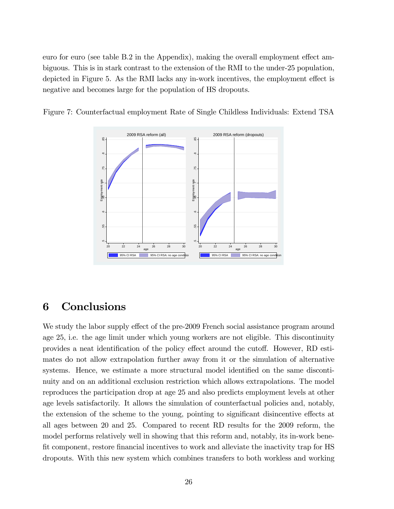euro for euro (see table  $B.2$  in the Appendix), making the overall employment effect ambiguous. This is in stark contrast to the extension of the RMI to the under-25 population, depicted in Figure 5. As the RMI lacks any in-work incentives, the employment effect is negative and becomes large for the population of HS dropouts.



Figure 7: Counterfactual employment Rate of Single Childless Individuals: Extend TSA

### 6 Conclusions

We study the labor supply effect of the pre-2009 French social assistance program around age 25, i.e. the age limit under which young workers are not eligible. This discontinuity provides a neat identification of the policy effect around the cutoff. However, RD estimates do not allow extrapolation further away from it or the simulation of alternative systems. Hence, we estimate a more structural model identified on the same discontinuity and on an additional exclusion restriction which allows extrapolations. The model reproduces the participation drop at age 25 and also predicts employment levels at other age levels satisfactorily. It allows the simulation of counterfactual policies and, notably, the extension of the scheme to the young, pointing to significant disincentive effects at all ages between 20 and 25. Compared to recent RD results for the 2009 reform, the model performs relatively well in showing that this reform and, notably, its in-work bene-Öt component, restore Önancial incentives to work and alleviate the inactivity trap for HS dropouts. With this new system which combines transfers to both workless and working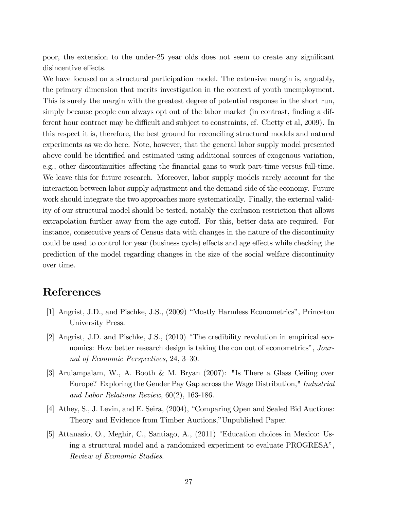poor, the extension to the under-25 year olds does not seem to create any significant disincentive effects.

We have focused on a structural participation model. The extensive margin is, arguably, the primary dimension that merits investigation in the context of youth unemployment. This is surely the margin with the greatest degree of potential response in the short run, simply because people can always opt out of the labor market (in contrast, finding a different hour contract may be difficult and subject to constraints, cf. Chetty et al, 2009). In this respect it is, therefore, the best ground for reconciling structural models and natural experiments as we do here. Note, however, that the general labor supply model presented above could be identified and estimated using additional sources of exogenous variation, e.g., other discontinuities affecting the financial gans to work part-time versus full-time. We leave this for future research. Moreover, labor supply models rarely account for the interaction between labor supply adjustment and the demand-side of the economy. Future work should integrate the two approaches more systematically. Finally, the external validity of our structural model should be tested, notably the exclusion restriction that allows extrapolation further away from the age cutoff. For this, better data are required. For instance, consecutive years of Census data with changes in the nature of the discontinuity could be used to control for year (business cycle) effects and age effects while checking the prediction of the model regarding changes in the size of the social welfare discontinuity over time.

## References

- [1] Angrist, J.D., and Pischke, J.S., (2009) "Mostly Harmless Econometrics", Princeton University Press.
- [2] Angrist, J.D. and Pischke, J.S.,  $(2010)$  "The credibility revolution in empirical economics: How better research design is taking the con out of econometrics", Journal of Economic Perspectives, 24, 3–30.
- [3] Arulampalam, W., A. Booth & M. Bryan (2007): "Is There a Glass Ceiling over Europe? Exploring the Gender Pay Gap across the Wage Distribution," Industrial and Labor Relations Review, 60(2), 163-186.
- [4] Athey, S., J. Levin, and E. Seira, (2004), "Comparing Open and Sealed Bid Auctions: Theory and Evidence from Timber Auctions," Unpublished Paper.
- [5] Attanasio, O., Meghir, C., Santiago, A., (2011) "Education choices in Mexico: Using a structural model and a randomized experiment to evaluate PROGRESA<sup>n</sup>, Review of Economic Studies.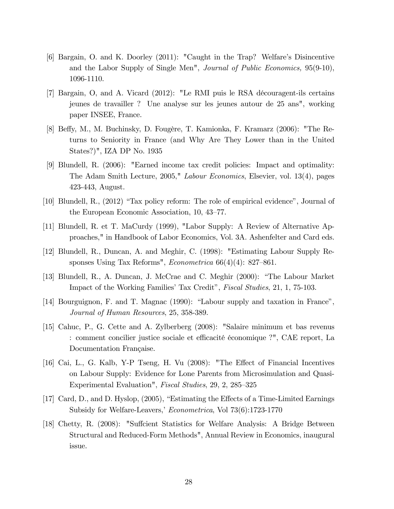- [6] Bargain, O. and K. Doorley (2011): "Caught in the Trap? Welfareís Disincentive and the Labor Supply of Single Men", Journal of Public Economics, 95(9-10), 1096-1110.
- [7] Bargain, O, and A. Vicard (2012): "Le RMI puis le RSA dÈcouragent-ils certains jeunes de travailler ? Une analyse sur les jeunes autour de 25 ans", working paper INSEE, France.
- [8] Beffy, M., M. Buchinsky, D. Fougère, T. Kamionka, F. Kramarz (2006): "The Returns to Seniority in France (and Why Are They Lower than in the United States?)", IZA DP No. 1935
- [9] Blundell, R. (2006): "Earned income tax credit policies: Impact and optimality: The Adam Smith Lecture, 2005," Labour Economics, Elsevier, vol. 13(4), pages 423-443, August.
- [10] Blundell, R., (2012) "Tax policy reform: The role of empirical evidence", Journal of the European Economic Association, 10, 43–77.
- [11] Blundell, R. et T. MaCurdy (1999), "Labor Supply: A Review of Alternative Approaches," in Handbook of Labor Economics, Vol. 3A. Ashenfelter and Card eds.
- [12] Blundell, R., Duncan, A. and Meghir, C. (1998): "Estimating Labour Supply Responses Using Tax Reforms", *Econometrica*  $66(4)(4)$ : 827–861.
- [13] Blundell, R., A. Duncan, J. McCrae and C. Meghir (2000): "The Labour Market Impact of the Working Families' Tax Credit", *Fiscal Studies*, 21, 1, 75-103.
- [14] Bourguignon, F. and T. Magnac  $(1990)$ : "Labour supply and taxation in France", Journal of Human Resources, 25, 358-389.
- [15] Cahuc, P., G. Cette and A. Zylberberg (2008): "Salaire minimum et bas revenus : comment concilier justice sociale et efficacité économique ?", CAE report, La Documentation Française.
- [16] Cai, L., G. Kalb, Y-P Tseng, H. Vu (2008): "The Effect of Financial Incentives on Labour Supply: Evidence for Lone Parents from Microsimulation and Quasi-Experimental Evaluation", Fiscal Studies, 29, 2, 285–325
- [17] Card, D., and D. Hyslop, (2005), "Estimating the Effects of a Time-Limited Earnings Subsidy for Welfare-Leavers,' Econometrica, Vol 73(6):1723-1770
- [18] Chetty, R. (2008): "Sufficient Statistics for Welfare Analysis: A Bridge Between Structural and Reduced-Form Methods", Annual Review in Economics, inaugural issue.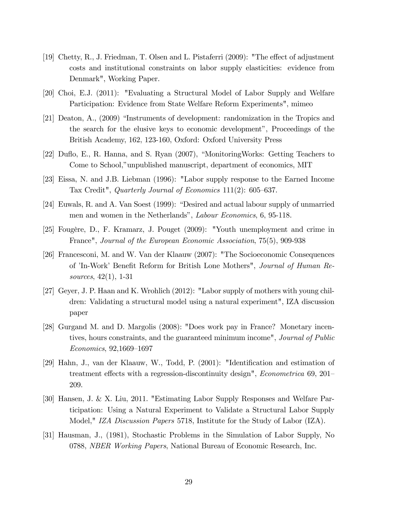- [19] Chetty, R., J. Friedman, T. Olsen and L. Pistaferri  $(2009)$ : "The effect of adjustment costs and institutional constraints on labor supply elasticities: evidence from Denmark", Working Paper.
- [20] Choi, E.J. (2011): "Evaluating a Structural Model of Labor Supply and Welfare Participation: Evidence from State Welfare Reform Experiments", mimeo
- [21] Deaton, A., (2009) "Instruments of development: randomization in the Tropics and the search for the elusive keys to economic developmentî, Proceedings of the British Academy, 162, 123-160, Oxford: Oxford University Press
- [22] Duflo, E., R. Hanna, and S. Ryan  $(2007)$ , "MonitoringWorks: Getting Teachers to Come to School,"unpublished manuscript, department of economics, MIT
- [23] Eissa, N. and J.B. Liebman (1996): "Labor supply response to the Earned Income Tax Credit", Quarterly Journal of Economics  $111(2)$ : 605-637.
- [24] Euwals, R. and A. Van Soest (1999): "Desired and actual labour supply of unmarried men and women in the Netherlands", *Labour Economics*, 6, 95-118.
- [25] Fougère, D., F. Kramarz, J. Pouget (2009): "Youth unemployment and crime in France", Journal of the European Economic Association, 75(5), 909-938
- [26] Francesconi, M. and W. Van der Klaauw (2007): "The Socioeconomic Consequences of 'In-Work' Benefit Reform for British Lone Mothers", Journal of Human Resources, 42(1), 1-31
- [27] Geyer, J. P. Haan and K. Wrohlich (2012): "Labor supply of mothers with young children: Validating a structural model using a natural experiment", IZA discussion paper
- [28] Gurgand M. and D. Margolis (2008): "Does work pay in France? Monetary incentives, hours constraints, and the guaranteed minimum income", *Journal of Public*  $Economics, 92,1669-1697$
- [29] Hahn, J., van der Klaauw, W., Todd, P. (2001): "Identification and estimation of treatment effects with a regression-discontinuity design", *Econometrica* 69, 201– 209.
- [30] Hansen, J. & X. Liu, 2011. "Estimating Labor Supply Responses and Welfare Participation: Using a Natural Experiment to Validate a Structural Labor Supply Model," IZA Discussion Papers 5718, Institute for the Study of Labor (IZA).
- [31] Hausman, J., (1981), Stochastic Problems in the Simulation of Labor Supply, No 0788, NBER Working Papers, National Bureau of Economic Research, Inc.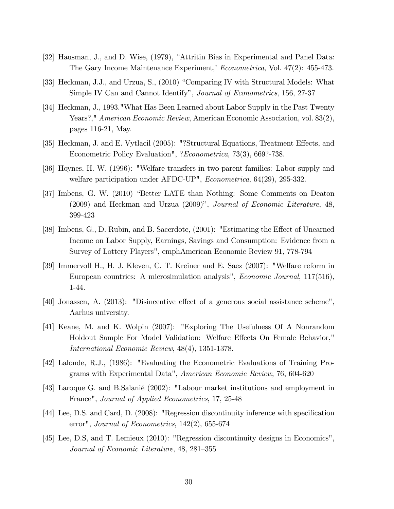- [32] Hausman, J., and D. Wise, (1979), "Attritin Bias in Experimental and Panel Data: The Gary Income Maintenance Experiment, Econometrica, Vol. 47(2): 455-473.
- [33] Heckman, J.J., and Urzua, S., (2010) "Comparing IV with Structural Models: What Simple IV Can and Cannot Identifyî, Journal of Econometrics, 156, 27-37
- [34] Heckman, J., 1993."What Has Been Learned about Labor Supply in the Past Twenty Years?," American Economic Review, American Economic Association, vol. 83(2), pages 116-21, May.
- [35] Heckman, J. and E. Vytlacil (2005): "?Structural Equations, Treatment Effects, and Econometric Policy Evaluation", ?Econometrica, 73(3), 669?-738.
- [36] Hoynes, H. W. (1996): "Welfare transfers in two-parent families: Labor supply and welfare participation under AFDC-UP", Econometrica, 64(29), 295-332.
- [37] Imbens, G. W. (2010) "Better LATE than Nothing: Some Comments on Deaton (2009) and Heckman and Urzua  $(2009)$ ", Journal of Economic Literature, 48, 399-423
- [38] Imbens, G., D. Rubin, and B. Sacerdote, (2001): "Estimating the Effect of Unearned Income on Labor Supply, Earnings, Savings and Consumption: Evidence from a Survey of Lottery Players", emphAmerican Economic Review 91, 778-794
- [39] Immervoll H., H. J. Kleven, C. T. Kreiner and E. Saez (2007): "Welfare reform in European countries: A microsimulation analysis", Economic Journal, 117(516), 1-44.
- $[40]$  Jonassen, A.  $(2013)$ : "Disincentive effect of a generous social assistance scheme", Aarhus university.
- [41] Keane, M. and K. Wolpin (2007): "Exploring The Usefulness Of A Nonrandom Holdout Sample For Model Validation: Welfare Effects On Female Behavior," International Economic Review, 48(4), 1351-1378.
- [42] Lalonde, R.J., (1986): "Evaluating the Econometric Evaluations of Training Programs with Experimental Data", American Economic Review, 76, 604-620
- [43] Laroque G. and B.SalaniÈ (2002): "Labour market institutions and employment in France", Journal of Applied Econometrics, 17, 25-48
- [44] Lee, D.S. and Card, D. (2008): "Regression discontinuity inference with specification error", Journal of Econometrics, 142(2), 655-674
- [45] Lee, D.S, and T. Lemieux (2010): "Regression discontinuity designs in Economics", Journal of Economic Literature, 48, 281–355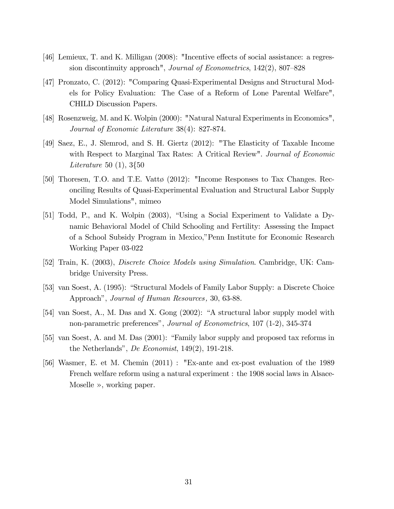- [46] Lemieux, T. and K. Milligan  $(2008)$ : "Incentive effects of social assistance: a regression discontinuity approach", Journal of Econometrics,  $142(2)$ ,  $807-828$
- [47] Pronzato, C. (2012): "Comparing Quasi-Experimental Designs and Structural Models for Policy Evaluation: The Case of a Reform of Lone Parental Welfare", CHILD Discussion Papers.
- [48] Rosenzweig, M. and K. Wolpin (2000): "Natural Natural Experiments in Economics", Journal of Economic Literature 38(4): 827-874.
- [49] Saez, E., J. Slemrod, and S. H. Giertz (2012): "The Elasticity of Taxable Income with Respect to Marginal Tax Rates: A Critical Review". Journal of Economic Literature 50 (1), 3{50
- [50] Thoresen, T.O. and T.E. Vatt $\varphi$  (2012): "Income Responses to Tax Changes. Reconciling Results of Quasi-Experimental Evaluation and Structural Labor Supply Model Simulations", mimeo
- [51] Todd, P., and K. Wolpin (2003), "Using a Social Experiment to Validate a Dynamic Behavioral Model of Child Schooling and Fertility: Assessing the Impact of a School Subsidy Program in Mexico,îPenn Institute for Economic Research Working Paper 03-022
- [52] Train, K. (2003), Discrete Choice Models using Simulation. Cambridge, UK: Cambridge University Press.
- [53] van Soest, A. (1995): "Structural Models of Family Labor Supply: a Discrete Choice Approach", Journal of Human Resources, 30, 63-88.
- [54] van Soest, A., M. Das and X. Gong  $(2002)$ : "A structural labor supply model with non-parametric preferencesî, Journal of Econometrics, 107 (1-2), 345-374
- $[55]$  van Soest, A. and M. Das  $(2001)$ : "Family labor supply and proposed tax reforms in the Netherlands", De Economist,  $149(2)$ ,  $191-218$ .
- [56] Wasmer, E. et M. Chemin (2011) : "Ex-ante and ex-post evaluation of the 1989 French welfare reform using a natural experiment : the 1908 social laws in Alsace-Moselle  $\gg$ , working paper.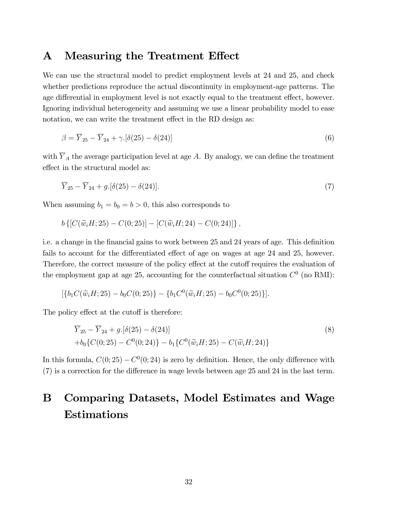### A Measuring the Treatment Effect

We can use the structural model to predict employment levels at 24 and 25, and check whether predictions reproduce the actual discontinuity in employment-age patterns. The age differential in employment level is not exactly equal to the treatment effect, however. Ignoring individual heterogeneity and assuming we use a linear probability model to ease notation, we can write the treatment effect in the RD design as:

$$
\beta = \overline{Y}_{25} - \overline{Y}_{24} + \gamma \left[ \delta(25) - \delta(24) \right] \tag{6}
$$

with  $\overline{Y}_A$  the average participation level at age A. By analogy, we can define the treatment effect in the structural model as:

$$
\overline{Y}_{25} - \overline{Y}_{24} + g. [\delta(25) - \delta(24)].
$$
\n(7)

When assuming  $b_1 = b_0 = b > 0$ , this also corresponds to

$$
b\left\{ [C(\widetilde{w}_iH; 25) - C(0; 25)] - [C(\widetilde{w}_iH; 24) - C(0; 24)] \right\},\
$$

i.e. a change in the financial gains to work between 25 and 24 years of age. This definition fails to account for the differentiated effect of age on wages at age 24 and 25, however. Therefore, the correct measure of the policy effect at the cutoff requires the evaluation of the employment gap at age 25, accounting for the counterfactual situation  $C^0$  (no RMI):

$$
[\{b_1C(\widetilde{w}_iH;25)-b_0C(0;25)\}-\{b_1C^0(\widetilde{w}_iH;25)-b_0C^0(0;25)\}].
$$

The policy effect at the cutoff is therefore:

$$
\overline{Y}_{25} - \overline{Y}_{24} + g. [\delta(25) - \delta(24)]
$$
\n
$$
+ b_0 \{ C(0; 25) - C^0(0; 24) \} - b_1 \{ C^0(\tilde{w}_i H; 25) - C(\tilde{w}_i H; 24) \}
$$
\n(8)

In this formula,  $C(0, 25) - C^{0}(0, 24)$  is zero by definition. Hence, the only difference with  $(7)$  is a correction for the difference in wage levels between age 25 and 24 in the last term.

# B Comparing Datasets, Model Estimates and Wage Estimations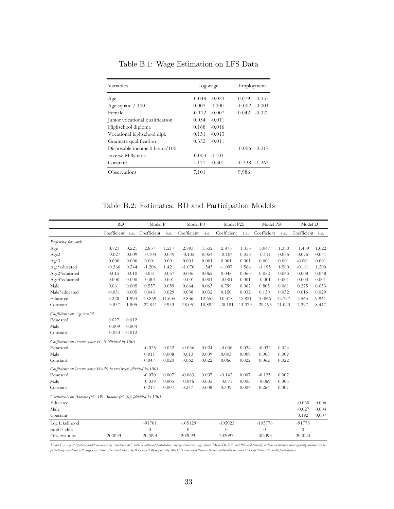| Variables                          | Log wage             | Employment           |  |  |  |
|------------------------------------|----------------------|----------------------|--|--|--|
| Age                                | $-0.048$<br>$-0.023$ | $-0.055$<br>0.079    |  |  |  |
| Age square $/ 100$                 | 0.001<br>0.000       | $-0.002$<br>$-0.001$ |  |  |  |
| Female                             | $-0.112$<br>$-0.007$ | 0.042<br>$-0.022$    |  |  |  |
| Junior vocational qualification    | $-0.011$<br>0.054    |                      |  |  |  |
| Highschool diploma                 | 0.168<br>$-0.016$    |                      |  |  |  |
| Vocational highschool dipl.        | $-0.013$<br>0.131    |                      |  |  |  |
| Graduate qualification             | $-0.011$<br>0.352    |                      |  |  |  |
| Disposable income $0$ hours/ $100$ |                      | $-0.006 - 0.017$     |  |  |  |
| Inverse Mills ratio                | $-0.003$<br>0.101    |                      |  |  |  |
| Constant                           | 4.177<br>$-0.301$    | $-0.338 -1.263$      |  |  |  |
| Observations                       | 7,101                | 9,986                |  |  |  |

Table B.1: Wage Estimation on LFS Data

Table B.2: Estimates: RD and Participation Models

|                                                                                | <b>RD</b>        |       | Model P          |        | Model P0    |        | Model P25      |        | Model P50   |        | Model D          |       |
|--------------------------------------------------------------------------------|------------------|-------|------------------|--------|-------------|--------|----------------|--------|-------------|--------|------------------|-------|
|                                                                                | Coefficient s.e. |       | Coefficient      | s.e.   | Coefficient | s.e.   | Coefficient    | s.e.   | Coefficient | s.e.   | Coefficient s.e. |       |
| Preference for work                                                            |                  |       |                  |        |             |        |                |        |             |        |                  |       |
| Age                                                                            | 0.721            | 0.221 | 2.837            | 1.217  | 2.893       | 1.332  | 2.875          | 1.355  | 3.047       | 1.350  | $-1.459$         | 1.022 |
| Age2                                                                           | $-0.027$         | 0.009 | $-0.104$         | 0.049  | $-0.105$    | 0.054  | $-0.104$       | 0.055  | $-0.111$    | 0.055  | 0.075            | 0.041 |
| Age3                                                                           | 0.000            | 0.000 | 0.001            | 0.001  | 0.001       | 0.001  | 0.001          | 0.001  | 0.001       | 0.001  | $-0.001$         | 0.001 |
| Age*educated                                                                   | $-0.366$         | 0.244 | $-1.206$         | 1.421  | $-1.070$    | 1.545  | $-1.097$       | 1.566  | $-1.195$    | 1.560  | $-0.181$         | 1.200 |
| Age2*educated                                                                  | 0.015            | 0.010 | 0.051            | 0.057  | 0.046       | 0.062  | 0.048          | 0.063  | 0.052       | 0.063  | 0.008            | 0.048 |
| Age3*educated                                                                  | 0.000            | 0.000 | $-0.001$         | 0.001  | $-0.001$    | 0.001  | $-0.001$       | 0.001  | $-0.001$    | 0.001  | 0.000            | 0.001 |
| Male                                                                           | 0.061            | 0.005 | 0.557            | 0.059  | 0.664       | 0.063  | 0.799          | 0.062  | 0.805       | 0.061  | 0.275            | 0.033 |
| Male*educated                                                                  | $-0.031$         | 0.005 | 0.043            | 0.029  | 0.038       | 0.032  | 0.150          | 0.032  | 0.130       | 0.032  | 0.016            | 0.029 |
| Educated                                                                       | 3.228            | 1.994 | 10.869           | 11.635 | 9.836       | 12.652 | 10.318         | 12.821 | 10.866      | 12.777 | 2.565            | 9.941 |
| Constant                                                                       | $-5.857$         | 1.805 | $-27.041$        | 9.953  | $-28.051$   | 10.892 | $-28.181$      | 11.079 | $-29.195$   | 11.040 | 7.297            | 8.447 |
| Coefficients on Age >=25                                                       |                  |       |                  |        |             |        |                |        |             |        |                  |       |
| Educated                                                                       | 0.027            | 0.012 |                  |        |             |        |                |        |             |        |                  |       |
| Male                                                                           | $-0.009$         | 0.004 |                  |        |             |        |                |        |             |        |                  |       |
| Constant                                                                       | $-0.033$         | 0.012 |                  |        |             |        |                |        |             |        |                  |       |
| Coefficients on Income when $H=0$ (divided by 100)                             |                  |       |                  |        |             |        |                |        |             |        |                  |       |
| Educated                                                                       |                  |       | $-0.025$         | 0.022  | $-0.036$    | 0.024  | $-0.036$       | 0.024  | $-0.032$    | 0.024  |                  |       |
| Male                                                                           |                  |       | 0.011            | 0.008  | 0.013       | 0.009  | 0.003          | 0.009  | 0.003       | 0.009  |                  |       |
| Constant                                                                       |                  |       | 0.047            | 0.020  | 0.062       | 0.022  | 0.066          | 0.022  | 0.062       | 0.022  |                  |       |
| Coefficients on Income when $H=39$ hours/week (divided by 100)                 |                  |       |                  |        |             |        |                |        |             |        |                  |       |
| Educated                                                                       |                  |       | $-0.070$         | 0.007  | $-0.083$    | 0.007  | $-0.142$       | 0.007  | $-0.123$    | 0.007  |                  |       |
| Male                                                                           |                  |       | $-0.039$         | 0.005  | $-0.046$    | 0.005  | $-0.071$       | 0.005  | $-0.069$    | 0.005  |                  |       |
| Constant                                                                       |                  |       | 0.214            | 0.007  | 0.247       | 0.008  | 0.309          | 0.007  | 0.264       | 0.007  |                  |       |
| Coefficients on <i>[Income (H=39)</i> - Income $(H=0)$ <i>[divided by 100)</i> |                  |       |                  |        |             |        |                |        |             |        |                  |       |
| Educated                                                                       |                  |       |                  |        |             |        |                |        |             |        | $-0.060$         | 0.006 |
| Male                                                                           |                  |       |                  |        |             |        |                |        |             |        | $-0.027$         | 0.004 |
| Constant                                                                       |                  |       |                  |        |             |        |                |        |             |        | 0.192            | 0.007 |
| Log Likelihood                                                                 |                  |       | $-91701$         |        | $-105129$   |        | $-105025$      |        | $-105776$   |        | $-91778$         |       |
| prob > chi2                                                                    |                  |       | $\boldsymbol{0}$ |        | $\theta$    |        | $\overline{0}$ |        | $\theta$    |        | $\theta$         |       |
| Observations                                                                   | 202093           |       | 202093           |        | 202093      |        | 202093         |        | 202093      |        | 202093           |       |

Model P is a participation model estimated by simulated ML nith conditional probabilities averaged over ten nuge draws. Model P0, P25 and P50 additionally include unobserved heterogeneity assumed to be<br>potentially correlat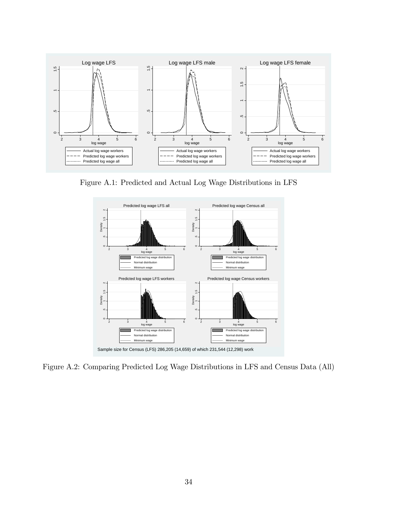

Figure A.1: Predicted and Actual Log Wage Distributions in LFS



Figure A.2: Comparing Predicted Log Wage Distributions in LFS and Census Data (All)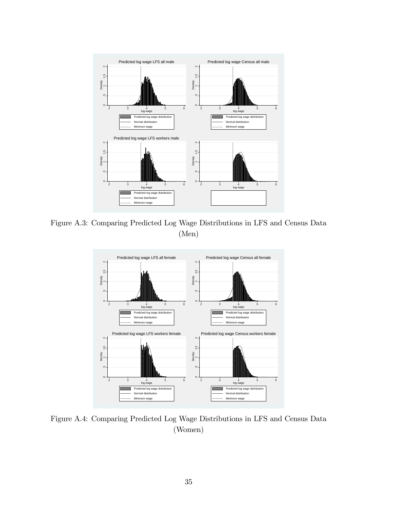

Figure A.3: Comparing Predicted Log Wage Distributions in LFS and Census Data (Men)



Figure A.4: Comparing Predicted Log Wage Distributions in LFS and Census Data (Women)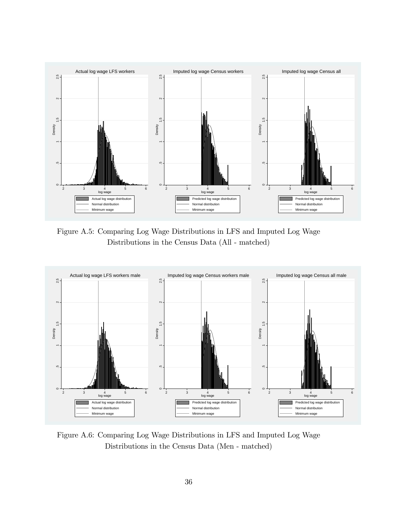

Figure A.5: Comparing Log Wage Distributions in LFS and Imputed Log Wage Distributions in the Census Data (All - matched)



Figure A.6: Comparing Log Wage Distributions in LFS and Imputed Log Wage Distributions in the Census Data (Men - matched)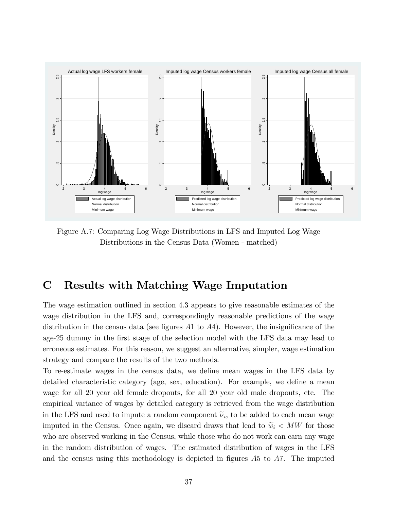

Figure A.7: Comparing Log Wage Distributions in LFS and Imputed Log Wage Distributions in the Census Data (Women - matched)

## C Results with Matching Wage Imputation

The wage estimation outlined in section 4.3 appears to give reasonable estimates of the wage distribution in the LFS and, correspondingly reasonable predictions of the wage distribution in the census data (see figures  $A1$  to  $A4$ ). However, the insignificance of the age-25 dummy in the first stage of the selection model with the LFS data may lead to erroneous estimates. For this reason, we suggest an alternative, simpler, wage estimation strategy and compare the results of the two methods.

To re-estimate wages in the census data, we define mean wages in the LFS data by detailed characteristic category (age, sex, education). For example, we define a mean wage for all 20 year old female dropouts, for all 20 year old male dropouts, etc. The empirical variance of wages by detailed category is retrieved from the wage distribution in the LFS and used to impute a random component  $\tilde{\nu}_i$ , to be added to each mean wage imputed in the Census. Once again, we discard draws that lead to  $\widetilde{w}_i < MW$  for those who are observed working in the Census, while those who do not work can earn any wage in the random distribution of wages. The estimated distribution of wages in the LFS and the census using this methodology is depicted in figures  $A5$  to  $A7$ . The imputed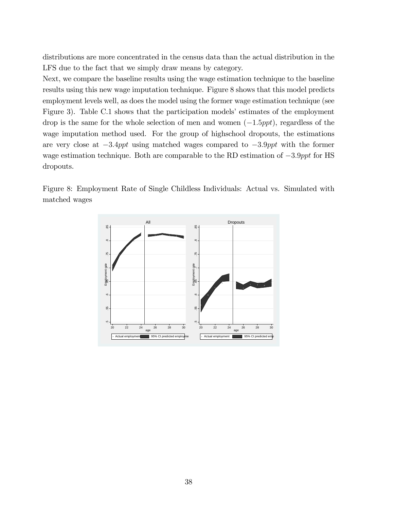distributions are more concentrated in the census data than the actual distribution in the LFS due to the fact that we simply draw means by category.

Next, we compare the baseline results using the wage estimation technique to the baseline results using this new wage imputation technique. Figure 8 shows that this model predicts employment levels well, as does the model using the former wage estimation technique (see Figure 3). Table C.1 shows that the participation models' estimates of the employment drop is the same for the whole selection of men and women  $(-1.5ppt)$ , regardless of the wage imputation method used. For the group of highschool dropouts, the estimations are very close at  $-3.4ppt$  using matched wages compared to  $-3.9ppt$  with the former wage estimation technique. Both are comparable to the RD estimation of  $-3.9$ ppt for HS dropouts.